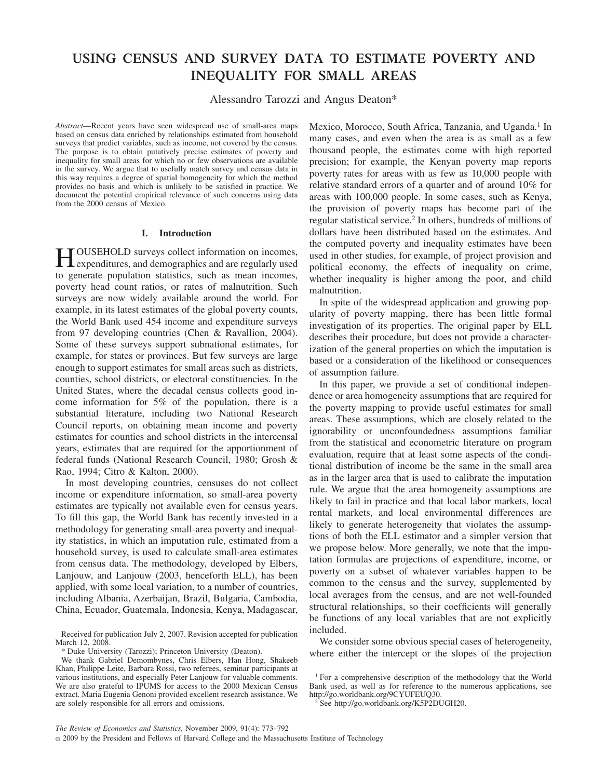# **USING CENSUS AND SURVEY DATA TO ESTIMATE POVERTY AND INEQUALITY FOR SMALL AREAS**

Alessandro Tarozzi and Angus Deaton\*

*Abstract*—Recent years have seen widespread use of small-area maps based on census data enriched by relationships estimated from household surveys that predict variables, such as income, not covered by the census. The purpose is to obtain putatively precise estimates of poverty and inequality for small areas for which no or few observations are available in the survey. We argue that to usefully match survey and census data in this way requires a degree of spatial homogeneity for which the method provides no basis and which is unlikely to be satisfied in practice. We document the potential empirical relevance of such concerns using data from the 2000 census of Mexico.

## **I. Introduction**

HOUSEHOLD surveys collect information on incomes, expenditures, and demographics and are regularly used to generate population statistics, such as mean incomes, poverty head count ratios, or rates of malnutrition. Such surveys are now widely available around the world. For example, in its latest estimates of the global poverty counts, the World Bank used 454 income and expenditure surveys from 97 developing countries (Chen & Ravallion, 2004). Some of these surveys support subnational estimates, for example, for states or provinces. But few surveys are large enough to support estimates for small areas such as districts, counties, school districts, or electoral constituencies. In the United States, where the decadal census collects good income information for 5% of the population, there is a substantial literature, including two National Research Council reports, on obtaining mean income and poverty estimates for counties and school districts in the intercensal years, estimates that are required for the apportionment of federal funds (National Research Council, 1980; Grosh & Rao, 1994; Citro & Kalton, 2000).

In most developing countries, censuses do not collect income or expenditure information, so small-area poverty estimates are typically not available even for census years. To fill this gap, the World Bank has recently invested in a methodology for generating small-area poverty and inequality statistics, in which an imputation rule, estimated from a household survey, is used to calculate small-area estimates from census data. The methodology, developed by Elbers, Lanjouw, and Lanjouw (2003, henceforth ELL), has been applied, with some local variation, to a number of countries, including Albania, Azerbaijan, Brazil, Bulgaria, Cambodia, China, Ecuador, Guatemala, Indonesia, Kenya, Madagascar,

Received for publication July 2, 2007. Revision accepted for publication March 12, 2008.

\* Duke University (Tarozzi); Princeton University (Deaton).

Mexico, Morocco, South Africa, Tanzania, and Uganda.<sup>1</sup> In many cases, and even when the area is as small as a few thousand people, the estimates come with high reported precision; for example, the Kenyan poverty map reports poverty rates for areas with as few as 10,000 people with relative standard errors of a quarter and of around 10% for areas with 100,000 people. In some cases, such as Kenya, the provision of poverty maps has become part of the regular statistical service.2 In others, hundreds of millions of dollars have been distributed based on the estimates. And the computed poverty and inequality estimates have been used in other studies, for example, of project provision and political economy, the effects of inequality on crime, whether inequality is higher among the poor, and child malnutrition.

In spite of the widespread application and growing popularity of poverty mapping, there has been little formal investigation of its properties. The original paper by ELL describes their procedure, but does not provide a characterization of the general properties on which the imputation is based or a consideration of the likelihood or consequences of assumption failure.

In this paper, we provide a set of conditional independence or area homogeneity assumptions that are required for the poverty mapping to provide useful estimates for small areas. These assumptions, which are closely related to the ignorability or unconfoundedness assumptions familiar from the statistical and econometric literature on program evaluation, require that at least some aspects of the conditional distribution of income be the same in the small area as in the larger area that is used to calibrate the imputation rule. We argue that the area homogeneity assumptions are likely to fail in practice and that local labor markets, local rental markets, and local environmental differences are likely to generate heterogeneity that violates the assumptions of both the ELL estimator and a simpler version that we propose below. More generally, we note that the imputation formulas are projections of expenditure, income, or poverty on a subset of whatever variables happen to be common to the census and the survey, supplemented by local averages from the census, and are not well-founded structural relationships, so their coefficients will generally be functions of any local variables that are not explicitly included.

We consider some obvious special cases of heterogeneity, where either the intercept or the slopes of the projection

We thank Gabriel Demombynes, Chris Elbers, Han Hong, Shakeeb Khan, Philippe Leite, Barbara Rossi, two referees, seminar participants at various institutions, and especially Peter Lanjouw for valuable comments. We are also grateful to IPUMS for access to the 2000 Mexican Census extract. Maria Eugenia Genoni provided excellent research assistance. We are solely responsible for all errors and omissions.

<sup>&</sup>lt;sup>1</sup> For a comprehensive description of the methodology that the World Bank used, as well as for reference to the numerous applications, see http://go.worldbank.org/9CYUFEUQ30.

<sup>2</sup> See http://go.worldbank.org/K5P2DUGH20.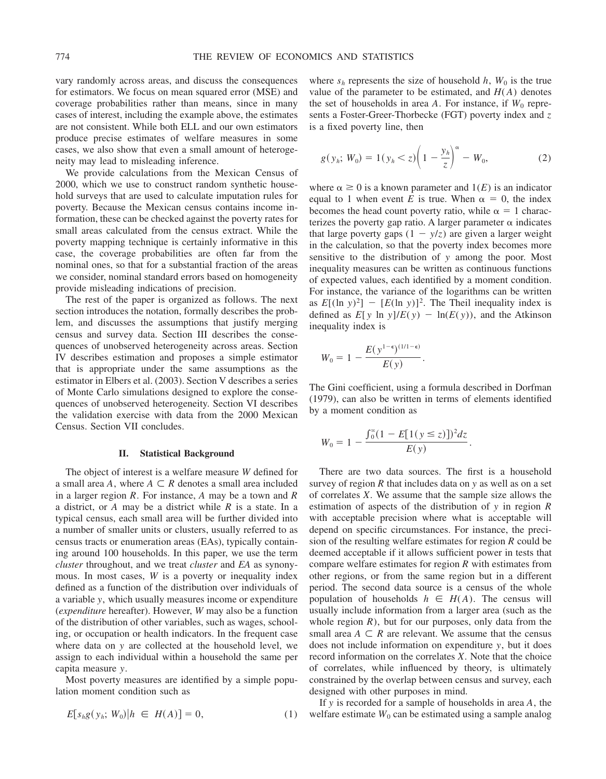vary randomly across areas, and discuss the consequences for estimators. We focus on mean squared error (MSE) and coverage probabilities rather than means, since in many cases of interest, including the example above, the estimates are not consistent. While both ELL and our own estimators produce precise estimates of welfare measures in some cases, we also show that even a small amount of heterogeneity may lead to misleading inference.

We provide calculations from the Mexican Census of 2000, which we use to construct random synthetic household surveys that are used to calculate imputation rules for poverty. Because the Mexican census contains income information, these can be checked against the poverty rates for small areas calculated from the census extract. While the poverty mapping technique is certainly informative in this case, the coverage probabilities are often far from the nominal ones, so that for a substantial fraction of the areas we consider, nominal standard errors based on homogeneity provide misleading indications of precision.

The rest of the paper is organized as follows. The next section introduces the notation, formally describes the problem, and discusses the assumptions that justify merging census and survey data. Section III describes the consequences of unobserved heterogeneity across areas. Section IV describes estimation and proposes a simple estimator that is appropriate under the same assumptions as the estimator in Elbers et al. (2003). Section V describes a series of Monte Carlo simulations designed to explore the consequences of unobserved heterogeneity. Section VI describes the validation exercise with data from the 2000 Mexican Census. Section VII concludes.

## **II. Statistical Background**

The object of interest is a welfare measure *W* defined for a small area *A*, where  $A \subseteq R$  denotes a small area included in a larger region *R*. For instance, *A* may be a town and *R* a district, or *A* may be a district while *R* is a state. In a typical census, each small area will be further divided into a number of smaller units or clusters, usually referred to as census tracts or enumeration areas (EAs), typically containing around 100 households. In this paper, we use the term *cluster* throughout, and we treat *cluster* and *EA* as synonymous. In most cases, *W* is a poverty or inequality index defined as a function of the distribution over individuals of a variable *y*, which usually measures income or expenditure (*expenditure* hereafter). However, *W* may also be a function of the distribution of other variables, such as wages, schooling, or occupation or health indicators. In the frequent case where data on *y* are collected at the household level, we assign to each individual within a household the same per capita measure *y*.

Most poverty measures are identified by a simple population moment condition such as

$$
E[s_h g(y_h; W_0) | h \in H(A)] = 0,
$$
\n(1)

where  $s_h$  represents the size of household  $h$ ,  $W_0$  is the true value of the parameter to be estimated, and  $H(A)$  denotes the set of households in area A. For instance, if  $W_0$  represents a Foster-Greer-Thorbecke (FGT) poverty index and *z* is a fixed poverty line, then

$$
g(y_h; W_0) = 1(y_h < z) \left(1 - \frac{y_h}{z}\right)^{\alpha} - W_0, \tag{2}
$$

where  $\alpha \geq 0$  is a known parameter and  $1(E)$  is an indicator equal to 1 when event *E* is true. When  $\alpha = 0$ , the index becomes the head count poverty ratio, while  $\alpha = 1$  characterizes the poverty gap ratio. A larger parameter  $\alpha$  indicates that large poverty gaps  $(1 - y/z)$  are given a larger weight in the calculation, so that the poverty index becomes more sensitive to the distribution of *y* among the poor. Most inequality measures can be written as continuous functions of expected values, each identified by a moment condition. For instance, the variance of the logarithms can be written as  $E[(\ln y)^2] - [E(\ln y)]^2$ . The Theil inequality index is defined as  $E[y \ln y]/E(y) - \ln(E(y))$ , and the Atkinson inequality index is

$$
W_0 = 1 - \frac{E(y^{1-\epsilon})^{(1/1-\epsilon)}}{E(y)}.
$$

The Gini coefficient, using a formula described in Dorfman (1979), can also be written in terms of elements identified by a moment condition as

$$
W_0 = 1 - \frac{\int_0^{\infty} (1 - E[1(y \le z)])^2 dz}{E(y)}.
$$

There are two data sources. The first is a household survey of region *R* that includes data on *y* as well as on a set of correlates *X*. We assume that the sample size allows the estimation of aspects of the distribution of *y* in region *R* with acceptable precision where what is acceptable will depend on specific circumstances. For instance, the precision of the resulting welfare estimates for region *R* could be deemed acceptable if it allows sufficient power in tests that compare welfare estimates for region *R* with estimates from other regions, or from the same region but in a different period. The second data source is a census of the whole population of households  $h \in H(A)$ . The census will usually include information from a larger area (such as the whole region  $R$ ), but for our purposes, only data from the small area  $A \subset R$  are relevant. We assume that the census does not include information on expenditure *y*, but it does record information on the correlates *X*. Note that the choice of correlates, while influenced by theory, is ultimately constrained by the overlap between census and survey, each designed with other purposes in mind.

If *y* is recorded for a sample of households in area *A*, the welfare estimate  $W_0$  can be estimated using a sample analog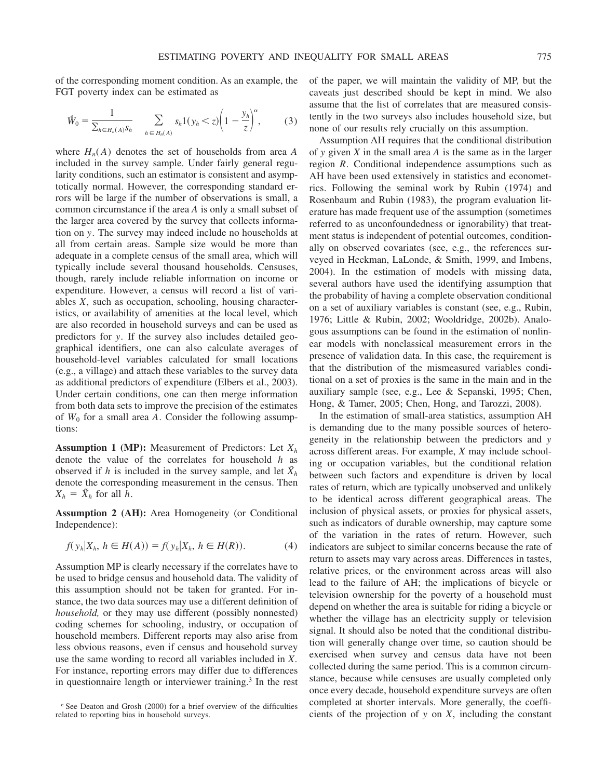of the corresponding moment condition. As an example, the FGT poverty index can be estimated as

$$
\hat{W}_0 = \frac{1}{\sum_{h \in H_n(A)} S_h} \sum_{h \in H_n(A)} s_h 1(y_h < z) \left( 1 - \frac{y_h}{z} \right)^\alpha, \tag{3}
$$

where  $H_n(A)$  denotes the set of households from area A included in the survey sample. Under fairly general regularity conditions, such an estimator is consistent and asymptotically normal. However, the corresponding standard errors will be large if the number of observations is small, a common circumstance if the area *A* is only a small subset of the larger area covered by the survey that collects information on *y*. The survey may indeed include no households at all from certain areas. Sample size would be more than adequate in a complete census of the small area, which will typically include several thousand households. Censuses, though, rarely include reliable information on income or expenditure. However, a census will record a list of variables *X*, such as occupation, schooling, housing characteristics, or availability of amenities at the local level, which are also recorded in household surveys and can be used as predictors for *y*. If the survey also includes detailed geographical identifiers, one can also calculate averages of household-level variables calculated for small locations (e.g., a village) and attach these variables to the survey data as additional predictors of expenditure (Elbers et al., 2003). Under certain conditions, one can then merge information from both data sets to improve the precision of the estimates of  $W_0$  for a small area A. Consider the following assumptions:

**Assumption 1 (MP):** Measurement of Predictors: Let *Xh* denote the value of the correlates for household *h* as observed if *h* is included in the survey sample, and let  $\tilde{X}_h$ denote the corresponding measurement in the census. Then  $X_h = \tilde{X}_h$  for all *h*.

**Assumption 2 (AH):** Area Homogeneity (or Conditional Independence):

$$
f(y_h|X_h, h \in H(A)) = f(y_h|X_h, h \in H(R)).
$$
 (4)

Assumption MP is clearly necessary if the correlates have to be used to bridge census and household data. The validity of this assumption should not be taken for granted. For instance, the two data sources may use a different definition of *household*, or they may use different (possibly nonnested) coding schemes for schooling, industry, or occupation of household members. Different reports may also arise from less obvious reasons, even if census and household survey use the same wording to record all variables included in *X*. For instance, reporting errors may differ due to differences in questionnaire length or interviewer training.3 In the rest of the paper, we will maintain the validity of MP, but the caveats just described should be kept in mind. We also assume that the list of correlates that are measured consistently in the two surveys also includes household size, but none of our results rely crucially on this assumption.

Assumption AH requires that the conditional distribution of *y* given *X* in the small area *A* is the same as in the larger region *R*. Conditional independence assumptions such as AH have been used extensively in statistics and econometrics. Following the seminal work by Rubin (1974) and Rosenbaum and Rubin (1983), the program evaluation literature has made frequent use of the assumption (sometimes referred to as unconfoundedness or ignorability) that treatment status is independent of potential outcomes, conditionally on observed covariates (see, e.g., the references surveyed in Heckman, LaLonde, & Smith, 1999, and Imbens, 2004). In the estimation of models with missing data, several authors have used the identifying assumption that the probability of having a complete observation conditional on a set of auxiliary variables is constant (see, e.g., Rubin, 1976; Little & Rubin, 2002; Wooldridge, 2002b). Analogous assumptions can be found in the estimation of nonlinear models with nonclassical measurement errors in the presence of validation data. In this case, the requirement is that the distribution of the mismeasured variables conditional on a set of proxies is the same in the main and in the auxiliary sample (see, e.g., Lee & Sepanski, 1995; Chen, Hong, & Tamer, 2005; Chen, Hong, and Tarozzi, 2008).

In the estimation of small-area statistics, assumption AH is demanding due to the many possible sources of heterogeneity in the relationship between the predictors and *y* across different areas. For example, *X* may include schooling or occupation variables, but the conditional relation between such factors and expenditure is driven by local rates of return, which are typically unobserved and unlikely to be identical across different geographical areas. The inclusion of physical assets, or proxies for physical assets, such as indicators of durable ownership, may capture some of the variation in the rates of return. However, such indicators are subject to similar concerns because the rate of return to assets may vary across areas. Differences in tastes, relative prices, or the environment across areas will also lead to the failure of AH; the implications of bicycle or television ownership for the poverty of a household must depend on whether the area is suitable for riding a bicycle or whether the village has an electricity supply or television signal. It should also be noted that the conditional distribution will generally change over time, so caution should be exercised when survey and census data have not been collected during the same period. This is a common circumstance, because while censuses are usually completed only once every decade, household expenditure surveys are often completed at shorter intervals. More generally, the coefficients of the projection of *y* on *X*, including the constant

<sup>e</sup> See Deaton and Grosh (2000) for a brief overview of the difficulties related to reporting bias in household surveys.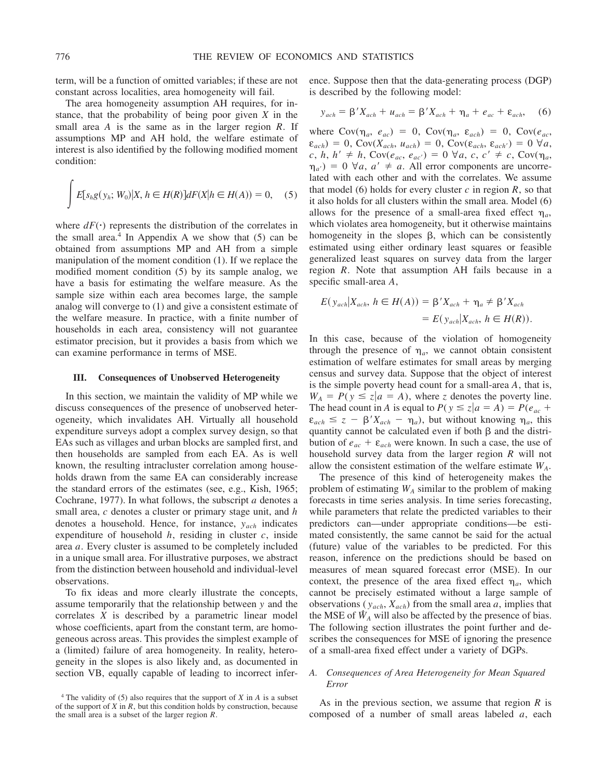term, will be a function of omitted variables; if these are not constant across localities, area homogeneity will fail.

The area homogeneity assumption AH requires, for instance, that the probability of being poor given *X* in the small area *A* is the same as in the larger region *R*. If assumptions MP and AH hold, the welfare estimate of interest is also identified by the following modified moment condition:

$$
\int E[s_h g(y_h; W_0)|X, h \in H(R)]dF(X|h \in H(A)) = 0, \quad (5)
$$

where  $dF(\cdot)$  represents the distribution of the correlates in the small area.<sup>4</sup> In Appendix A we show that  $(5)$  can be obtained from assumptions MP and AH from a simple manipulation of the moment condition (1). If we replace the modified moment condition (5) by its sample analog, we have a basis for estimating the welfare measure. As the sample size within each area becomes large, the sample analog will converge to (1) and give a consistent estimate of the welfare measure. In practice, with a finite number of households in each area, consistency will not guarantee estimator precision, but it provides a basis from which we can examine performance in terms of MSE.

#### **III. Consequences of Unobserved Heterogeneity**

In this section, we maintain the validity of MP while we discuss consequences of the presence of unobserved heterogeneity, which invalidates AH. Virtually all household expenditure surveys adopt a complex survey design, so that EAs such as villages and urban blocks are sampled first, and then households are sampled from each EA. As is well known, the resulting intracluster correlation among households drawn from the same EA can considerably increase the standard errors of the estimates (see, e.g., Kish, 1965; Cochrane, 1977). In what follows, the subscript *a* denotes a small area, *c* denotes a cluster or primary stage unit, and *h* denotes a household. Hence, for instance, *yach* indicates expenditure of household *h*, residing in cluster *c*, inside area *a*. Every cluster is assumed to be completely included in a unique small area. For illustrative purposes, we abstract from the distinction between household and individual-level observations.

To fix ideas and more clearly illustrate the concepts, assume temporarily that the relationship between *y* and the correlates *X* is described by a parametric linear model whose coefficients, apart from the constant term, are homogeneous across areas. This provides the simplest example of a (limited) failure of area homogeneity. In reality, heterogeneity in the slopes is also likely and, as documented in section VB, equally capable of leading to incorrect inference. Suppose then that the data-generating process (DGP) is described by the following model:

$$
y_{ach} = \beta' X_{ach} + u_{ach} = \beta' X_{ach} + \eta_a + e_{ac} + \varepsilon_{ach}, \quad (6)
$$

where  $Cov(\eta_a, e_{ac}) = 0$ ,  $Cov(\eta_a, \varepsilon_{ach}) = 0$ ,  $Cov(e_{ac},$  $\varepsilon_{ach}$ ) = 0, Cov( $X_{ach}$ ,  $u_{ach}$ ) = 0, Cov( $\varepsilon_{ach}$ ,  $\varepsilon_{ach'}$ ) = 0  $\forall a$ ,  $c, h, h' \neq h, Cov(e_{ac}, e_{ac'}) = 0 \ \forall a, c, c' \neq c, Cov(\eta_a,$  $\eta_{a'}$  = 0  $\forall a, a' \neq a$ . All error components are uncorrelated with each other and with the correlates. We assume that model (6) holds for every cluster  $c$  in region  $R$ , so that it also holds for all clusters within the small area. Model (6) allows for the presence of a small-area fixed effect  $\eta_a$ , which violates area homogeneity, but it otherwise maintains homogeneity in the slopes  $\beta$ , which can be consistently estimated using either ordinary least squares or feasible generalized least squares on survey data from the larger region *R*. Note that assumption AH fails because in a specific small-area *A*,

$$
E(y_{ach}|X_{ach}, h \in H(A)) = \beta' X_{ach} + \eta_a \neq \beta' X_{ach}
$$
  
= 
$$
E(y_{ach}|X_{ach}, h \in H(R)).
$$

In this case, because of the violation of homogeneity through the presence of  $\eta_a$ , we cannot obtain consistent estimation of welfare estimates for small areas by merging census and survey data. Suppose that the object of interest is the simple poverty head count for a small-area *A*, that is,  $W_A = P(y \le z | a = A)$ , where *z* denotes the poverty line. The head count in *A* is equal to  $P(y \le z | a = A) = P(e_{ac} + A)$  $\varepsilon_{ach} \leq z - \beta' X_{ach} - \eta_a$ , but without knowing  $\eta_a$ , this quantity cannot be calculated even if both  $\beta$  and the distribution of  $e_{ac} + \varepsilon_{ach}$  were known. In such a case, the use of household survey data from the larger region *R* will not allow the consistent estimation of the welfare estimate *WA*.

The presence of this kind of heterogeneity makes the problem of estimating  $W_A$  similar to the problem of making forecasts in time series analysis. In time series forecasting, while parameters that relate the predicted variables to their predictors can—under appropriate conditions—be estimated consistently, the same cannot be said for the actual (future) value of the variables to be predicted. For this reason, inference on the predictions should be based on measures of mean squared forecast error (MSE). In our context, the presence of the area fixed effect  $\eta_a$ , which cannot be precisely estimated without a large sample of observations ( $y_{ach}$ ,  $X_{ach}$ ) from the small area *a*, implies that the MSE of  $\hat{W}_A$  will also be affected by the presence of bias. The following section illustrates the point further and describes the consequences for MSE of ignoring the presence of a small-area fixed effect under a variety of DGPs.

# *A. Consequences of Area Heterogeneity for Mean Squared Error*

As in the previous section, we assume that region *R* is composed of a number of small areas labeled *a*, each

 $4$  The validity of (5) also requires that the support of *X* in *A* is a subset of the support of *X* in *R*, but this condition holds by construction, because the small area is a subset of the larger region *R*.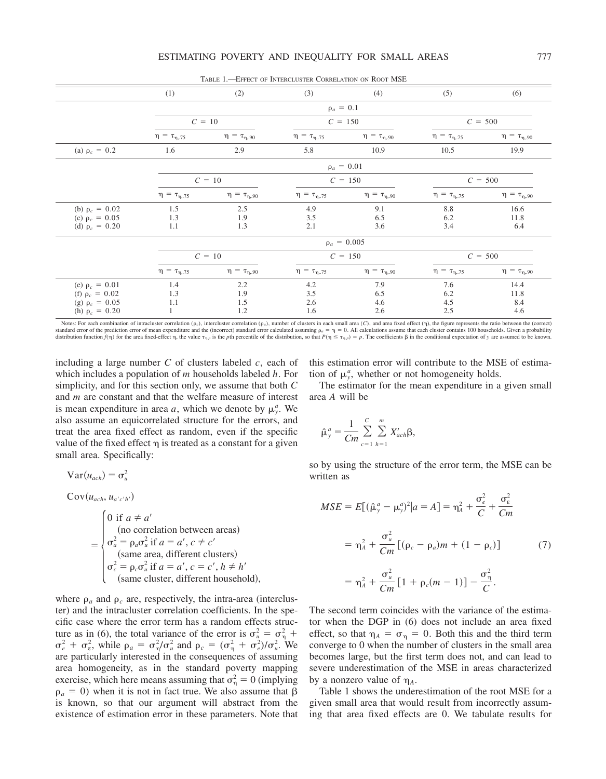|                     | TABLE 1. LITTLE OF INTERCLUSTER CORRELATION ON ROOT INSET |                           |                            |                           |                          |                           |     |      |  |  |
|---------------------|-----------------------------------------------------------|---------------------------|----------------------------|---------------------------|--------------------------|---------------------------|-----|------|--|--|
|                     | (1)                                                       | (2)                       | (3)                        | (4)                       | (5)                      | (6)                       |     |      |  |  |
|                     | $\rho_a = 0.1$                                            |                           |                            |                           |                          |                           |     |      |  |  |
|                     | $C = 10$                                                  |                           | $C = 150$                  |                           |                          | $C = 500$                 |     |      |  |  |
|                     | $\eta = \tau_{\eta,.75}$                                  | $\eta = \tau_{\eta, .90}$ | $\eta = \tau_{\eta,.75}$   | $\eta = \tau_{\eta, .90}$ | $\eta = \tau_{\eta,.75}$ | $\eta = \tau_{\eta, .90}$ |     |      |  |  |
| (a) $\rho_c = 0.2$  | 1.6                                                       | 2.9                       | 5.8                        | 10.9                      | 10.5                     | 19.9                      |     |      |  |  |
|                     |                                                           |                           | $\rho_a = 0.01$            |                           |                          |                           |     |      |  |  |
|                     |                                                           | $C = 10$                  |                            | $C = 150$                 |                          | $C = 500$                 |     |      |  |  |
|                     | $\eta = \tau_{\eta,.75}$                                  | $\eta = \tau_{\eta, .90}$ | $\eta = \tau_{\eta,.75}$   | $\eta = \tau_{\eta, .90}$ | $\eta = \tau_{\eta,.75}$ | $\eta = \tau_{\eta, .90}$ |     |      |  |  |
| (b) $\rho_c = 0.02$ | 1.5                                                       | 2.5                       | 4.9                        | 9.1                       | 8.8                      | 16.6                      |     |      |  |  |
| (c) $\rho_c = 0.05$ | 1.3                                                       | 1.9                       |                            |                           | 3.5                      | 6.5                       | 6.2 | 11.8 |  |  |
| (d) $\rho_c = 0.20$ | 1.1                                                       | 1.3                       | 2.1                        | 3.6                       | 3.4                      | 6.4                       |     |      |  |  |
|                     |                                                           |                           |                            | $\rho_a = 0.005$          |                          |                           |     |      |  |  |
|                     |                                                           | $C = 10$                  |                            | $C = 150$                 |                          | $C = 500$                 |     |      |  |  |
|                     | $\eta\,=\,\tau_{\eta,.75}$                                | $\eta = \tau_{\eta, .90}$ | $\eta\,=\,\tau_{\eta,.75}$ | $\eta = \tau_{\eta, .90}$ | $\eta = \tau_{\eta,.75}$ | $\eta = \tau_{\eta, .90}$ |     |      |  |  |
| (e) $\rho_c = 0.01$ | 1.4                                                       | 2.2                       | 4.2                        | 7.9                       | 7.6                      | 14.4                      |     |      |  |  |
| (f) $\rho_c = 0.02$ | 1.3                                                       | 1.9                       | 3.5                        | 6.5                       | 6.2                      | 11.8                      |     |      |  |  |
| (g) $\rho_c = 0.05$ | 1.1                                                       | 1.5                       | 2.6                        | 4.6                       | 4.5                      | 8.4                       |     |      |  |  |
| (h) $\rho_c = 0.20$ |                                                           | 1.2                       | 1.6                        | 2.6                       | 2.5                      | 4.6                       |     |      |  |  |

TABLE 1. FEEDCT OF INTERCLUSTER CORRELATION ON ROOT MSE

Notes: For each combination of intracluster correlation ( $\rho_c$ ), intercluster correlation ( $\rho_s$ ), number of clusters in each small area (C), and area fixed effect ( $\eta$ ), the figure represents the ratio between the (corr

including a large number *C* of clusters labeled *c*, each of which includes a population of *m* households labeled *h*. For simplicity, and for this section only, we assume that both *C* and *m* are constant and that the welfare measure of interest is mean expenditure in area *a*, which we denote by  $\mu_y^a$ . We also assume an equicorrelated structure for the errors, and treat the area fixed effect as random, even if the specific value of the fixed effect  $\eta$  is treated as a constant for a given small area. Specifically:

$$
Var(u_{ach}) = \sigma_u^2
$$
  
\n
$$
Cov(u_{ach}, u_{a'c'h'})
$$
  
\n
$$
= \begin{cases}\n0 \text{ if } a \neq a' \\
\text{(no correlation between areas)} \\
\sigma_a^2 = \rho_a \sigma_u^2 \text{ if } a = a', c \neq c' \\
\text{(same area, different clusters)} \\
\sigma_c^2 = \rho_c \sigma_u^2 \text{ if } a = a', c = c', h \neq h' \\
\text{(same cluster, different household)},\n\end{cases}
$$

where  $\rho_a$  and  $\rho_c$  are, respectively, the intra-area (intercluster) and the intracluster correlation coefficients. In the specific case where the error term has a random effects structure as in (6), the total variance of the error is  $\sigma_u^2 = \sigma_{\eta}^2$  +  $\sigma_e^2 + \sigma_{\varepsilon}^2$ , while  $\rho_a = \sigma_{\eta}^2/\sigma_u^2$  and  $\rho_c = (\sigma_{\eta}^2 + \sigma_e^2)/\sigma_u^2$ . We are particularly interested in the consequences of assuming area homogeneity, as in the standard poverty mapping exercise, which here means assuming that  $\sigma_{\eta}^2 = 0$  (implying  $a_p = 0$ ) when it is not in fact true. We also assume that  $\beta$ is known, so that our argument will abstract from the existence of estimation error in these parameters. Note that this estimation error will contribute to the MSE of estimation of  $\mu_y^a$ , whether or not homogeneity holds.

The estimator for the mean expenditure in a given small area *A* will be

$$
\hat{\mu}_y^a = \frac{1}{Cm} \sum_{c=1}^C \sum_{h=1}^m X'_{ach} \beta,
$$

so by using the structure of the error term, the MSE can be written as

$$
MSE = E[(\hat{\mu}_{y}^{a} - \mu_{y}^{a})^{2}|a = A] = \eta_{A}^{2} + \frac{\sigma_{e}^{2}}{C} + \frac{\sigma_{e}^{2}}{Cm}
$$
  
=  $\eta_{A}^{2} + \frac{\sigma_{u}^{2}}{Cm} [(\rho_{c} - \rho_{a})m + (1 - \rho_{c})]$  (7)  
=  $\eta_{A}^{2} + \frac{\sigma_{u}^{2}}{Cm} [1 + \rho_{c}(m - 1)] - \frac{\sigma_{\eta}^{2}}{C}.$ 

The second term coincides with the variance of the estimator when the DGP in (6) does not include an area fixed effect, so that  $\eta_A = \sigma_\eta = 0$ . Both this and the third term converge to 0 when the number of clusters in the small area becomes large, but the first term does not, and can lead to severe underestimation of the MSE in areas characterized by a nonzero value of  $\eta_A$ .

Table 1 shows the underestimation of the root MSE for a given small area that would result from incorrectly assuming that area fixed effects are 0. We tabulate results for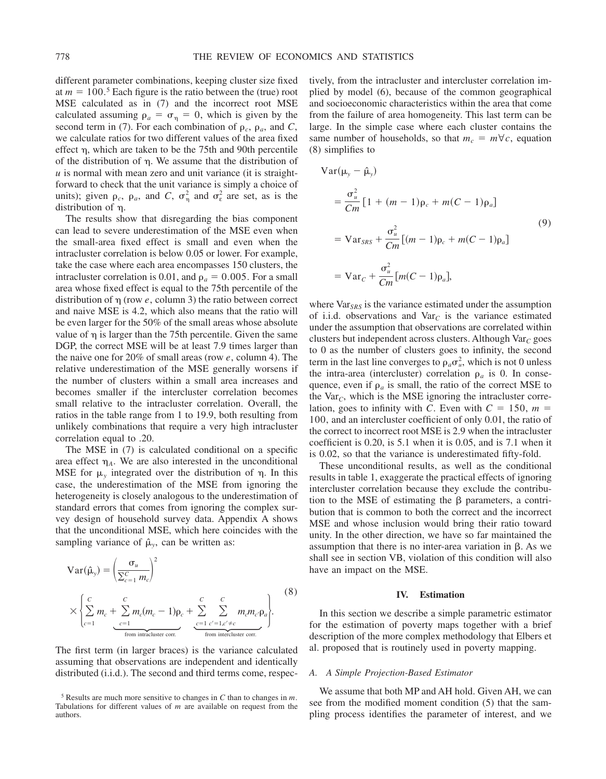different parameter combinations, keeping cluster size fixed at  $m = 100$ .<sup>5</sup> Each figure is the ratio between the (true) root MSE calculated as in (7) and the incorrect root MSE calculated assuming  $\rho_a = \sigma_n = 0$ , which is given by the second term in (7). For each combination of  $\rho_c$ ,  $\rho_a$ , and *C*, we calculate ratios for two different values of the area fixed effect  $\eta$ , which are taken to be the 75th and 90th percentile of the distribution of  $\eta$ . We assume that the distribution of  *is normal with mean zero and unit variance (it is straight*forward to check that the unit variance is simply a choice of units); given  $\rho_c$ ,  $\rho_a$ , and *C*,  $\sigma_{\eta}^2$  and  $\sigma_{\epsilon}^2$  are set, as is the distribution of η.

The results show that disregarding the bias component can lead to severe underestimation of the MSE even when the small-area fixed effect is small and even when the intracluster correlation is below 0.05 or lower. For example, take the case where each area encompasses 150 clusters, the intracluster correlation is 0.01, and  $\rho_a = 0.005$ . For a small area whose fixed effect is equal to the 75th percentile of the distribution of  $\eta$  (row *e*, column 3) the ratio between correct and naive MSE is 4.2, which also means that the ratio will be even larger for the 50% of the small areas whose absolute value of  $\eta$  is larger than the 75th percentile. Given the same DGP, the correct MSE will be at least 7.9 times larger than the naive one for 20% of small areas (row *e*, column 4). The relative underestimation of the MSE generally worsens if the number of clusters within a small area increases and becomes smaller if the intercluster correlation becomes small relative to the intracluster correlation. Overall, the ratios in the table range from 1 to 19.9, both resulting from unlikely combinations that require a very high intracluster correlation equal to .20.

The MSE in (7) is calculated conditional on a specific area effect  $\eta_A$ . We are also interested in the unconditional MSE for  $\mu$ <sub>v</sub> integrated over the distribution of  $\eta$ . In this case, the underestimation of the MSE from ignoring the heterogeneity is closely analogous to the underestimation of standard errors that comes from ignoring the complex survey design of household survey data. Appendix A shows that the unconditional MSE, which here coincides with the sampling variance of  $\hat{\mu}_v$ , can be written as:

$$
Var(\hat{\mu}_y) = \left(\frac{\sigma_u}{\sum_{c=1}^C m_c}\right)^2
$$
  
 
$$
\times \left\{\sum_{c=1}^C m_c + \sum_{c=1}^C m_c(m_c - 1)\rho_c + \sum_{c=1}^C \sum_{c'=1, c'\neq c}^C m_c m_{c'} \rho_a\right\}.
$$
  
 (8)

The first term (in larger braces) is the variance calculated assuming that observations are independent and identically distributed (i.i.d.). The second and third terms come, respectively, from the intracluster and intercluster correlation implied by model (6), because of the common geographical and socioeconomic characteristics within the area that come from the failure of area homogeneity. This last term can be large. In the simple case where each cluster contains the same number of households, so that  $m_c = m \forall c$ , equation (8) simplifies to

$$
\operatorname{Var}(\mu_{y} - \hat{\mu}_{y})
$$
\n
$$
= \frac{\sigma_{u}^{2}}{Cm} \left[ 1 + (m - 1)\rho_{c} + m(C - 1)\rho_{a} \right]
$$
\n
$$
= \operatorname{Var}_{SRS} + \frac{\sigma_{u}^{2}}{Cm} \left[ (m - 1)\rho_{c} + m(C - 1)\rho_{a} \right]
$$
\n
$$
= \operatorname{Var}_{C} + \frac{\sigma_{u}^{2}}{Cm} \left[ m(C - 1)\rho_{a} \right],
$$
\n(9)

where Var<sub>SRS</sub> is the variance estimated under the assumption of i.i.d. observations and  $Var_C$  is the variance estimated under the assumption that observations are correlated within clusters but independent across clusters. Although Var<sub>c</sub> goes to 0 as the number of clusters goes to infinity, the second term in the last line converges to  $\rho_a \sigma_u^2$ , which is not 0 unless the intra-area (intercluster) correlation  $\rho_a$  is 0. In consequence, even if  $\rho_a$  is small, the ratio of the correct MSE to the Var*C*, which is the MSE ignoring the intracluster correlation, goes to infinity with *C*. Even with  $C = 150$ ,  $m =$ 100, and an intercluster coefficient of only 0.01, the ratio of the correct to incorrect root MSE is 2.9 when the intracluster coefficient is 0.20, is 5.1 when it is 0.05, and is 7.1 when it is 0.02, so that the variance is underestimated fifty-fold.

These unconditional results, as well as the conditional results in table 1, exaggerate the practical effects of ignoring intercluster correlation because they exclude the contribution to the MSE of estimating the  $\beta$  parameters, a contribution that is common to both the correct and the incorrect MSE and whose inclusion would bring their ratio toward unity. In the other direction, we have so far maintained the assumption that there is no inter-area variation in  $\beta$ . As we shall see in section VB, violation of this condition will also have an impact on the MSE.

### **IV. Estimation**

In this section we describe a simple parametric estimator for the estimation of poverty maps together with a brief description of the more complex methodology that Elbers et al. proposed that is routinely used in poverty mapping.

## *A. A Simple Projection-Based Estimator*

We assume that both MP and AH hold. Given AH, we can see from the modified moment condition (5) that the sampling process identifies the parameter of interest, and we

<sup>5</sup> Results are much more sensitive to changes in *C* than to changes in *m*. Tabulations for different values of *m* are available on request from the authors.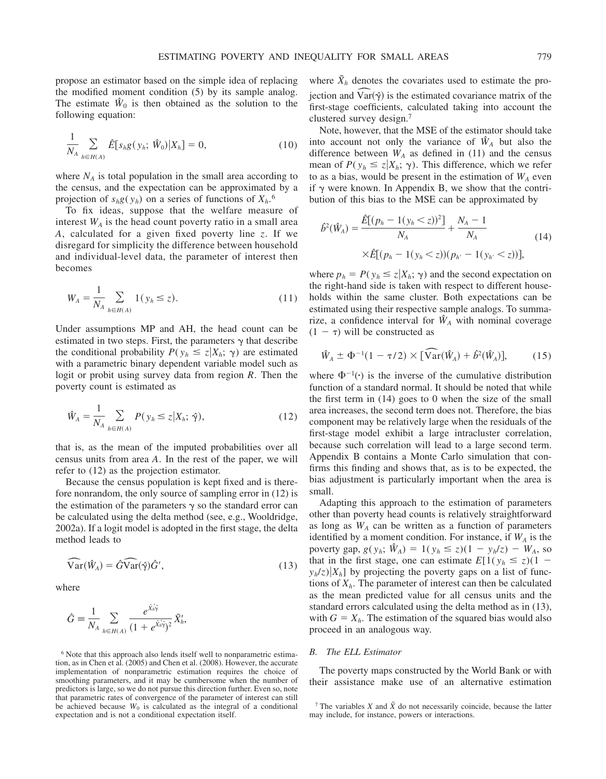propose an estimator based on the simple idea of replacing the modified moment condition (5) by its sample analog. The estimate  $\hat{W}_0$  is then obtained as the solution to the following equation:

$$
\frac{1}{N_A} \sum_{h \in H(A)} \hat{E}[s_h g(y_h; \hat{W}_0) | X_h] = 0, \tag{10}
$$

where  $N_A$  is total population in the small area according to the census, and the expectation can be approximated by a projection of  $s_h g(y_h)$  on a series of functions of  $X_h$ <sup>6</sup>

To fix ideas, suppose that the welfare measure of interest  $W_A$  is the head count poverty ratio in a small area *A*, calculated for a given fixed poverty line *z*. If we disregard for simplicity the difference between household and individual-level data, the parameter of interest then becomes

$$
W_A = \frac{1}{N_A} \sum_{h \in H(A)} 1(y_h \le z). \tag{11}
$$

Under assumptions MP and AH, the head count can be estimated in two steps. First, the parameters  $\gamma$  that describe the conditional probability  $P(y_h \le z | X_h; \gamma)$  are estimated with a parametric binary dependent variable model such as logit or probit using survey data from region *R*. Then the poverty count is estimated as

$$
\hat{W}_A = \frac{1}{N_A} \sum_{h \in H(A)} P(y_h \le z | X_h; \hat{\gamma}), \qquad (12)
$$

that is, as the mean of the imputed probabilities over all census units from area *A*. In the rest of the paper, we will refer to (12) as the projection estimator.

Because the census population is kept fixed and is therefore nonrandom, the only source of sampling error in (12) is the estimation of the parameters  $\gamma$  so the standard error can be calculated using the delta method (see, e.g., Wooldridge, 2002a). If a logit model is adopted in the first stage, the delta method leads to<br>  $\widehat{\text{Var}}(\hat{W}_A) = \hat{G}\widehat{\text{Var}}$ 

$$
\widehat{\text{Var}}(\hat{W}_A) = \hat{G}\widehat{\text{Var}}(\hat{\gamma})\hat{G}',\tag{13}
$$

where

$$
\hat{G} \equiv \frac{1}{N_A} \sum_{h \in H(A)} \frac{e^{\tilde{X}'_h \hat{\gamma}}}{(1 + e^{\tilde{X}'_h \hat{\gamma}})^2} \tilde{X}'_h,
$$

<sup>6</sup> Note that this approach also lends itself well to nonparametric estimation, as in Chen et al. (2005) and Chen et al. (2008). However, the accurate implementation of nonparametric estimation requires the choice of smoothing parameters, and it may be cumbersome when the number of predictors is large, so we do not pursue this direction further. Even so, note that parametric rates of convergence of the parameter of interest can still be achieved because  $W_0$  is calculated as the integral of a conditional expectation and is not a conditional expectation itself.

where  $\tilde{X}_h$  denotes the covariates used to estimate the prowhere  $\tilde{X}_h$  denotes  $(\hat{\gamma})$  is the estimated covariance matrix of the first-stage coefficients, calculated taking into account the clustered survey design.7

Note, however, that the MSE of the estimator should take into account not only the variance of  $\hat{W}_A$  but also the difference between  $W_A$  as defined in (11) and the census mean of  $P(y_h \le z | X_h; \gamma)$ . This difference, which we refer to as a bias, would be present in the estimation of  $W_A$  even if  $\gamma$  were known. In Appendix B, we show that the contribution of this bias to the MSE can be approximated by

$$
\hat{b}^{2}(\hat{W}_{A}) = \frac{\hat{E}[(p_{h} - 1(y_{h} < z))^{2}]}{N_{A}} + \frac{N_{A} - 1}{N_{A}} \times \hat{E}[(p_{h} - 1(y_{h} < z))(p_{h'} - 1(y_{h'} < z))],
$$
\n(14)

where  $p_h = P(y_h \le z | X_h; \gamma)$  and the second expectation on the right-hand side is taken with respect to different households within the same cluster. Both expectations can be estimated using their respective sample analogs. To summarize, a confidence interval for  $\hat{W}_A$  with nominal coverage (1 -  $\tau$ ) will be constructed as<br>  $\hat{W}_A \pm \Phi^{-1}(1 - \tau/2) \times [\widehat{Var}]$ 

$$
\hat{W}_A \pm \Phi^{-1}(1 - \tau/2) \times [\widehat{\text{Var}}(\hat{W}_A) + \hat{b}^2(\hat{W}_A)],\tag{15}
$$

where  $\Phi^{-1}(\cdot)$  is the inverse of the cumulative distribution function of a standard normal. It should be noted that while the first term in (14) goes to 0 when the size of the small area increases, the second term does not. Therefore, the bias component may be relatively large when the residuals of the first-stage model exhibit a large intracluster correlation, because such correlation will lead to a large second term. Appendix B contains a Monte Carlo simulation that confirms this finding and shows that, as is to be expected, the bias adjustment is particularly important when the area is small.

Adapting this approach to the estimation of parameters other than poverty head counts is relatively straightforward as long as  $W_A$  can be written as a function of parameters identified by a moment condition. For instance, if  $W_A$  is the poverty gap,  $g(y_h; \hat{W}_A) = 1(y_h \le z)(1 - y_h/z) - W_A$ , so that in the first stage, one can estimate  $E[1(y_h \le z)(1$  $y_h(z)$  *X<sub>h</sub>*] by projecting the poverty gaps on a list of functions of  $X_h$ . The parameter of interest can then be calculated as the mean predicted value for all census units and the standard errors calculated using the delta method as in (13), with  $G = X_h$ . The estimation of the squared bias would also proceed in an analogous way.

## *B. The ELL Estimator*

The poverty maps constructed by the World Bank or with their assistance make use of an alternative estimation

<sup>&</sup>lt;sup>7</sup> The variables *X* and  $\tilde{X}$  do not necessarily coincide, because the latter may include, for instance, powers or interactions.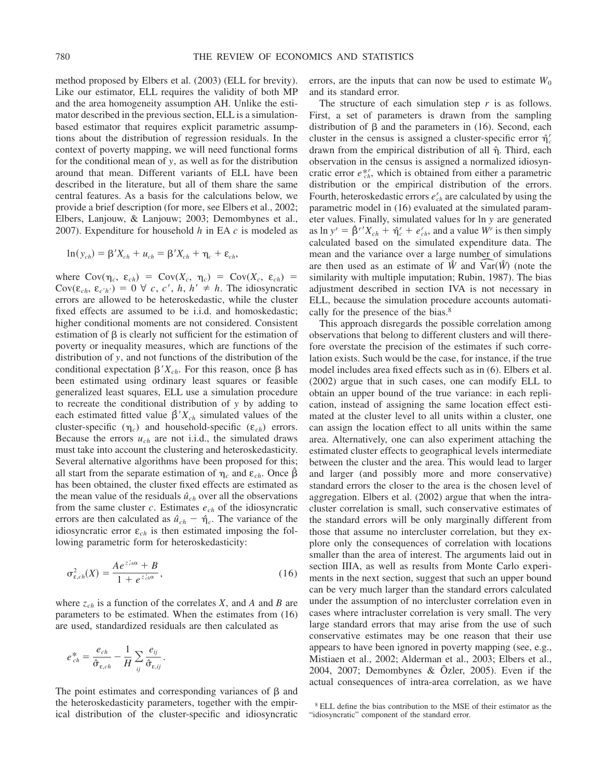method proposed by Elbers et al. (2003) (ELL for brevity). Like our estimator, ELL requires the validity of both MP and the area homogeneity assumption AH. Unlike the estimator described in the previous section, ELL is a simulationbased estimator that requires explicit parametric assumptions about the distribution of regression residuals. In the context of poverty mapping, we will need functional forms for the conditional mean of *y*, as well as for the distribution around that mean. Different variants of ELL have been described in the literature, but all of them share the same central features. As a basis for the calculations below, we provide a brief description (for more, see Elbers et al., 2002; Elbers, Lanjouw, & Lanjouw; 2003; Demombynes et al., 2007). Expenditure for household *h* in EA *c* is modeled as

$$
\ln(y_{ch}) = \beta' X_{ch} + u_{ch} = \beta' X_{ch} + \eta_c + \varepsilon_{ch},
$$

where  $Cov(\eta_c, \varepsilon_{ch}) = Cov(X_c, \eta_c) = Cov(X_c, \varepsilon_{ch}) =$  $Cov(\varepsilon_{ch}, \varepsilon_{c'h'}) = 0 \,\forall \, c, c', h, h' \neq h$ . The idiosyncratic errors are allowed to be heteroskedastic, while the cluster fixed effects are assumed to be i.i.d. and homoskedastic; higher conditional moments are not considered. Consistent estimation of  $\beta$  is clearly not sufficient for the estimation of poverty or inequality measures, which are functions of the distribution of *y*, and not functions of the distribution of the conditional expectation  $\beta' X_{ch}$ . For this reason, once  $\beta$  has been estimated using ordinary least squares or feasible generalized least squares, ELL use a simulation procedure to recreate the conditional distribution of *y* by adding to each estimated fitted value  $\hat{\beta}' X_{ch}$  simulated values of the cluster-specific  $(\eta_c)$  and household-specific  $(\varepsilon_{ch})$  errors. Because the errors  $u_{ch}$  are not i.i.d., the simulated draws must take into account the clustering and heteroskedasticity. Several alternative algorithms have been proposed for this; all start from the separate estimation of  $\eta_c$  and  $\varepsilon_{ch}$ . Once  $\hat{\beta}$ has been obtained, the cluster fixed effects are estimated as the mean value of the residuals  $\hat{u}_{ch}$  over all the observations from the same cluster *c*. Estimates *ech* of the idiosyncratic errors are then calculated as  $\hat{u}_{ch} - \hat{\eta}_c$ . The variance of the idiosyncratic error  $\varepsilon_{ch}$  is then estimated imposing the following parametric form for heteroskedasticity:

$$
\sigma_{\varepsilon, ch}^2(X) = \frac{A e^{z_{ch}^2\alpha} + B}{1 + e^{z_{ch}^2\alpha}},
$$
\n(16)

where  $z_{ch}$  is a function of the correlates *X*, and *A* and *B* are parameters to be estimated. When the estimates from (16) are used, standardized residuals are then calculated as

$$
e_{ch}^* = \frac{e_{ch}}{\hat{\sigma}_{\varepsilon, ch}} - \frac{1}{H} \sum_{ij} \frac{e_{ij}}{\hat{\sigma}_{\varepsilon, ij}}.
$$

The point estimates and corresponding variances of  $\beta$  and the heteroskedasticity parameters, together with the empirical distribution of the cluster-specific and idiosyncratic errors, are the inputs that can now be used to estimate  $W_0$ and its standard error.

The structure of each simulation step *r* is as follows. First, a set of parameters is drawn from the sampling distribution of  $\beta$  and the parameters in (16). Second, each cluster in the census is assigned a cluster-specific error  $\hat{\eta}_c^r$ drawn from the empirical distribution of all  $\hat{\eta}$ . Third, each observation in the census is assigned a normalized idiosyncratic error  $e^{*r}_{ch}$ , which is obtained from either a parametric distribution or the empirical distribution of the errors. Fourth, heteroskedastic errors  $e_{ch}^r$  are calculated by using the parametric model in (16) evaluated at the simulated parameter values. Finally, simulated values for ln *y* are generated as  $\ln y^r = \hat{\beta}^{r'} X_{ch} + \hat{\eta}_c^r + e_{ch}^r$ , and a value *Wr* is then simply calculated based on the simulated expenditure data. The mean and the variance over a large number of simulations as in  $y' = p' x_{ch} + \eta_c + e_{ch}$ , and a value *W* is then simply<br>calculated based on the simulated expenditure data. The<br>mean and the variance over a large number of simulations<br>are then used as an estimate of  $\hat{W}$  and  $\widehat{$ similarity with multiple imputation; Rubin, 1987). The bias adjustment described in section IVA is not necessary in ELL, because the simulation procedure accounts automatically for the presence of the bias.<sup>8</sup>

This approach disregards the possible correlation among observations that belong to different clusters and will therefore overstate the precision of the estimates if such correlation exists. Such would be the case, for instance, if the true model includes area fixed effects such as in (6). Elbers et al. (2002) argue that in such cases, one can modify ELL to obtain an upper bound of the true variance: in each replication, instead of assigning the same location effect estimated at the cluster level to all units within a cluster, one can assign the location effect to all units within the same area. Alternatively, one can also experiment attaching the estimated cluster effects to geographical levels intermediate between the cluster and the area. This would lead to larger and larger (and possibly more and more conservative) standard errors the closer to the area is the chosen level of aggregation. Elbers et al. (2002) argue that when the intracluster correlation is small, such conservative estimates of the standard errors will be only marginally different from those that assume no intercluster correlation, but they explore only the consequences of correlation with locations smaller than the area of interest. The arguments laid out in section IIIA, as well as results from Monte Carlo experiments in the next section, suggest that such an upper bound can be very much larger than the standard errors calculated under the assumption of no intercluster correlation even in cases where intracluster correlation is very small. The very large standard errors that may arise from the use of such conservative estimates may be one reason that their use appears to have been ignored in poverty mapping (see, e.g., Mistiaen et al., 2002; Alderman et al., 2003; Elbers et al., 2004, 2007; Demombynes &  $\tilde{O}$ zler, 2005). Even if the actual consequences of intra-area correlation, as we have

<sup>8</sup> ELL define the bias contribution to the MSE of their estimator as the "idiosyncratic" component of the standard error.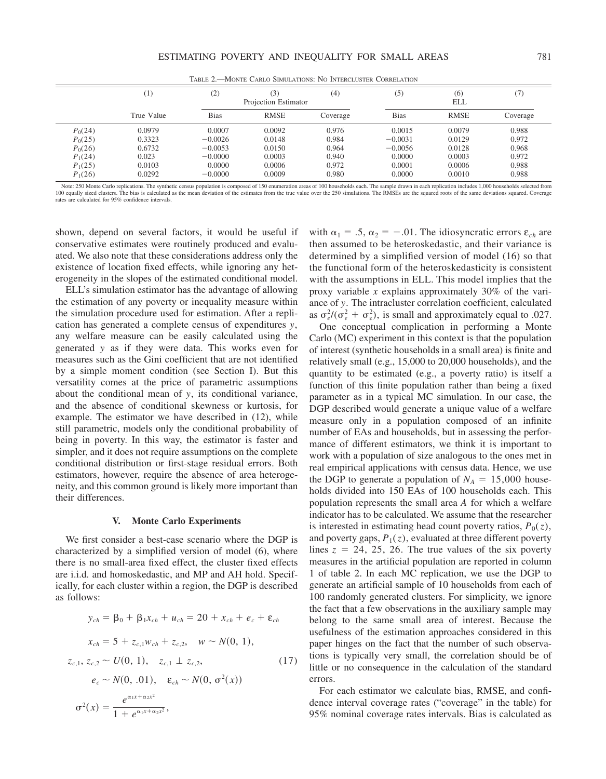TABLE 2.—MONTE CARLO SIMULATIONS: NO INTERCLUSTER CORRELATION

|           | $\scriptstyle{(1)}$ | $\left( 2\right)$ | 3)<br>Projection Estimator | $^{(4)}$ | (5)         | (6)<br><b>ELL</b> |          |
|-----------|---------------------|-------------------|----------------------------|----------|-------------|-------------------|----------|
|           | True Value          | <b>Bias</b>       | <b>RMSE</b>                | Coverage | <b>Bias</b> | <b>RMSE</b>       | Coverage |
| $P_0(24)$ | 0.0979              | 0.0007            | 0.0092                     | 0.976    | 0.0015      | 0.0079            | 0.988    |
| $P_0(25)$ | 0.3323              | $-0.0026$         | 0.0148                     | 0.984    | $-0.0031$   | 0.0129            | 0.972    |
| $P_0(26)$ | 0.6732              | $-0.0053$         | 0.0150                     | 0.964    | $-0.0056$   | 0.0128            | 0.968    |
| $P_1(24)$ | 0.023               | $-0.0000$         | 0.0003                     | 0.940    | 0.0000      | 0.0003            | 0.972    |
| $P_1(25)$ | 0.0103              | 0.0000            | 0.0006                     | 0.972    | 0.0001      | 0.0006            | 0.988    |
| $P_1(26)$ | 0.0292              | $-0.0000$         | 0.0009                     | 0.980    | 0.0000      | 0.0010            | 0.988    |

Note: 250 Monte Carlo replications. The synthetic census population is composed of 150 enumeration areas of 100 households each. The sample drawn in each replication includes 1,000 households selected from<br>100 equally size rates are calculated for 95% confidence intervals.

shown, depend on several factors, it would be useful if conservative estimates were routinely produced and evaluated. We also note that these considerations address only the existence of location fixed effects, while ignoring any heterogeneity in the slopes of the estimated conditional model.

ELL's simulation estimator has the advantage of allowing the estimation of any poverty or inequality measure within the simulation procedure used for estimation. After a replication has generated a complete census of expenditures *y*, any welfare measure can be easily calculated using the generated *y* as if they were data. This works even for measures such as the Gini coefficient that are not identified by a simple moment condition (see Section I). But this versatility comes at the price of parametric assumptions about the conditional mean of *y*, its conditional variance, and the absence of conditional skewness or kurtosis, for example. The estimator we have described in (12), while still parametric, models only the conditional probability of being in poverty. In this way, the estimator is faster and simpler, and it does not require assumptions on the complete conditional distribution or first-stage residual errors. Both estimators, however, require the absence of area heterogeneity, and this common ground is likely more important than their differences.

#### **V. Monte Carlo Experiments**

We first consider a best-case scenario where the DGP is characterized by a simplified version of model (6), where there is no small-area fixed effect, the cluster fixed effects are i.i.d. and homoskedastic, and MP and AH hold. Specifically, for each cluster within a region, the DGP is described as follows:

$$
y_{ch} = \beta_0 + \beta_1 x_{ch} + u_{ch} = 20 + x_{ch} + e_c + \varepsilon_{ch}
$$
  
\n
$$
x_{ch} = 5 + z_{c,1} w_{ch} + z_{c,2}, \quad w \sim N(0, 1),
$$
  
\n
$$
z_{c,1}, z_{c,2} \sim U(0, 1), \quad z_{c,1} \perp z_{c,2}, \quad (17)
$$
  
\n
$$
e_c \sim N(0, .01), \quad \varepsilon_{ch} \sim N(0, \sigma^2(x))
$$
  
\n
$$
\sigma^2(x) = \frac{e^{\alpha_1 x + \alpha_2 x^2}}{1 + e^{\alpha_1 x + \alpha_2 x^2}},
$$

with  $\alpha_1 = .5$ ,  $\alpha_2 = -.01$ . The idiosyncratic errors  $\varepsilon_{ch}$  are then assumed to be heteroskedastic, and their variance is determined by a simplified version of model (16) so that the functional form of the heteroskedasticity is consistent with the assumptions in ELL. This model implies that the proxy variable *x* explains approximately 30% of the variance of *y*. The intracluster correlation coefficient, calculated as  $\sigma_e^2/(\sigma_e^2 + \sigma_e^2)$ , is small and approximately equal to .027.

One conceptual complication in performing a Monte Carlo (MC) experiment in this context is that the population of interest (synthetic households in a small area) is finite and relatively small (e.g., 15,000 to 20,000 households), and the quantity to be estimated (e.g., a poverty ratio) is itself a function of this finite population rather than being a fixed parameter as in a typical MC simulation. In our case, the DGP described would generate a unique value of a welfare measure only in a population composed of an infinite number of EAs and households, but in assessing the performance of different estimators, we think it is important to work with a population of size analogous to the ones met in real empirical applications with census data. Hence, we use the DGP to generate a population of  $N_A = 15,000$  households divided into 150 EAs of 100 households each. This population represents the small area *A* for which a welfare indicator has to be calculated. We assume that the researcher is interested in estimating head count poverty ratios,  $P_0(z)$ , and poverty gaps,  $P_1(z)$ , evaluated at three different poverty lines  $z = 24$ , 25, 26. The true values of the six poverty measures in the artificial population are reported in column 1 of table 2. In each MC replication, we use the DGP to generate an artificial sample of 10 households from each of 100 randomly generated clusters. For simplicity, we ignore the fact that a few observations in the auxiliary sample may belong to the same small area of interest. Because the usefulness of the estimation approaches considered in this paper hinges on the fact that the number of such observations is typically very small, the correlation should be of little or no consequence in the calculation of the standard errors.

For each estimator we calculate bias, RMSE, and confidence interval coverage rates ("coverage" in the table) for 95% nominal coverage rates intervals. Bias is calculated as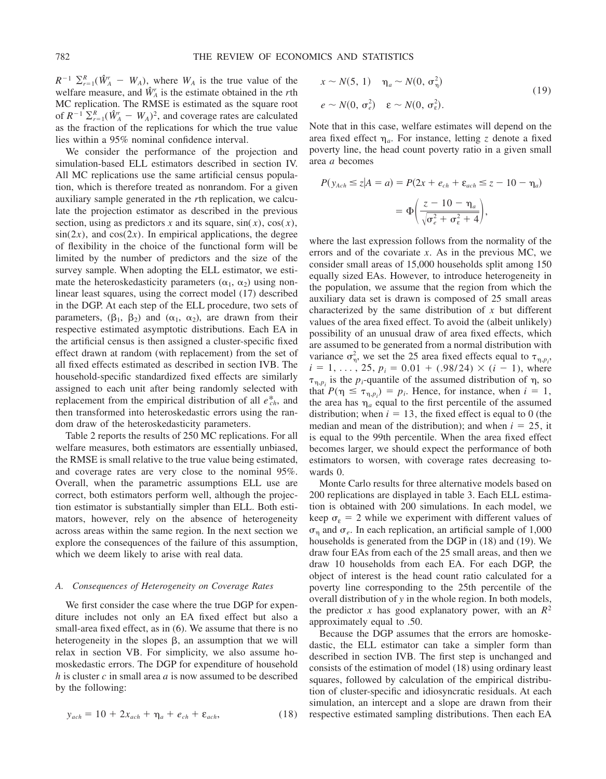$R^{-1} \sum_{r=1}^{R} (\hat{W}_A^r - W_A)$ , where  $W_A$  is the true value of the welfare measure, and  $\hat{W}_A^r$  is the estimate obtained in the *r*th MC replication. The RMSE is estimated as the square root of  $R^{-1} \sum_{r=1}^{R} (\hat{W}_A^r - W_A)^2$ , and coverage rates are calculated as the fraction of the replications for which the true value lies within a 95% nominal confidence interval.

We consider the performance of the projection and simulation-based ELL estimators described in section IV. All MC replications use the same artificial census population, which is therefore treated as nonrandom. For a given auxiliary sample generated in the *r*th replication, we calculate the projection estimator as described in the previous section, using as predictors *x* and its square,  $sin(x)$ ,  $cos(x)$ ,  $sin(2x)$ , and  $cos(2x)$ . In empirical applications, the degree of flexibility in the choice of the functional form will be limited by the number of predictors and the size of the survey sample. When adopting the ELL estimator, we estimate the heteroskedasticity parameters  $(\alpha_1, \alpha_2)$  using nonlinear least squares, using the correct model (17) described in the DGP. At each step of the ELL procedure, two sets of parameters,  $(\beta_1, \beta_2)$  and  $(\alpha_1, \alpha_2)$ , are drawn from their respective estimated asymptotic distributions. Each EA in the artificial census is then assigned a cluster-specific fixed effect drawn at random (with replacement) from the set of all fixed effects estimated as described in section IVB. The household-specific standardized fixed effects are similarly assigned to each unit after being randomly selected with replacement from the empirical distribution of all *e*\**ch*, and then transformed into heteroskedastic errors using the random draw of the heteroskedasticity parameters.

Table 2 reports the results of 250 MC replications. For all welfare measures, both estimators are essentially unbiased, the RMSE is small relative to the true value being estimated, and coverage rates are very close to the nominal 95%. Overall, when the parametric assumptions ELL use are correct, both estimators perform well, although the projection estimator is substantially simpler than ELL. Both estimators, however, rely on the absence of heterogeneity across areas within the same region. In the next section we explore the consequences of the failure of this assumption, which we deem likely to arise with real data.

### *A. Consequences of Heterogeneity on Coverage Rates*

We first consider the case where the true DGP for expenditure includes not only an EA fixed effect but also a small-area fixed effect, as in  $(6)$ . We assume that there is no heterogeneity in the slopes  $\beta$ , an assumption that we will relax in section VB. For simplicity, we also assume homoskedastic errors. The DGP for expenditure of household *h* is cluster *c* in small area *a* is now assumed to be described by the following:

$$
y_{ach} = 10 + 2x_{ach} + \eta_a + e_{ch} + \varepsilon_{ach}, \qquad (18)
$$

$$
x \sim N(5, 1) \quad \eta_a \sim N(0, \sigma_\eta^2)
$$
  
\n
$$
e \sim N(0, \sigma_e^2) \quad \varepsilon \sim N(0, \sigma_e^2).
$$
 (19)

Note that in this case, welfare estimates will depend on the area fixed effect  $\eta_a$ . For instance, letting *z* denote a fixed poverty line, the head count poverty ratio in a given small area *a* becomes

$$
P(y_{Ach} \le z | A = a) = P(2x + e_{ch} + \varepsilon_{ach} \le z - 10 - \eta_a)
$$

$$
= \Phi\left(\frac{z - 10 - \eta_a}{\sqrt{\sigma_e^2 + \sigma_e^2 + 4}}\right),
$$

where the last expression follows from the normality of the errors and of the covariate *x*. As in the previous MC, we consider small areas of 15,000 households split among 150 equally sized EAs. However, to introduce heterogeneity in the population, we assume that the region from which the auxiliary data set is drawn is composed of 25 small areas characterized by the same distribution of *x* but different values of the area fixed effect. To avoid the (albeit unlikely) possibility of an unusual draw of area fixed effects, which are assumed to be generated from a normal distribution with variance  $\sigma_{\eta}^2$ , we set the 25 area fixed effects equal to  $\tau_{\eta, p_i}$ ,  $i = 1, \ldots, 25, p_i = 0.01 + (.98/24) \times (i - 1)$ , where  $\tau_{\eta, p_i}$  is the *p<sub>i</sub>*-quantile of the assumed distribution of  $\eta$ , so that  $P(\eta \leq \tau_{\eta, p_i}) = p_i$ . Hence, for instance, when  $i = 1$ , the area has  $\eta_a$  equal to the first percentile of the assumed distribution; when  $i = 13$ , the fixed effect is equal to 0 (the median and mean of the distribution); and when  $i = 25$ , it is equal to the 99th percentile. When the area fixed effect becomes larger, we should expect the performance of both estimators to worsen, with coverage rates decreasing towards 0.

Monte Carlo results for three alternative models based on 200 replications are displayed in table 3. Each ELL estimation is obtained with 200 simulations. In each model, we keep  $\sigma_{\varepsilon}$  = 2 while we experiment with different values of  $\sigma_{\eta}$  and  $\sigma_{e}$ . In each replication, an artificial sample of 1,000 households is generated from the DGP in (18) and (19). We draw four EAs from each of the 25 small areas, and then we draw 10 households from each EA. For each DGP, the object of interest is the head count ratio calculated for a poverty line corresponding to the 25th percentile of the overall distribution of *y* in the whole region. In both models, the predictor *x* has good explanatory power, with an  $R^2$ approximately equal to .50.

Because the DGP assumes that the errors are homoskedastic, the ELL estimator can take a simpler form than described in section IVB. The first step is unchanged and consists of the estimation of model (18) using ordinary least squares, followed by calculation of the empirical distribution of cluster-specific and idiosyncratic residuals. At each simulation, an intercept and a slope are drawn from their respective estimated sampling distributions. Then each EA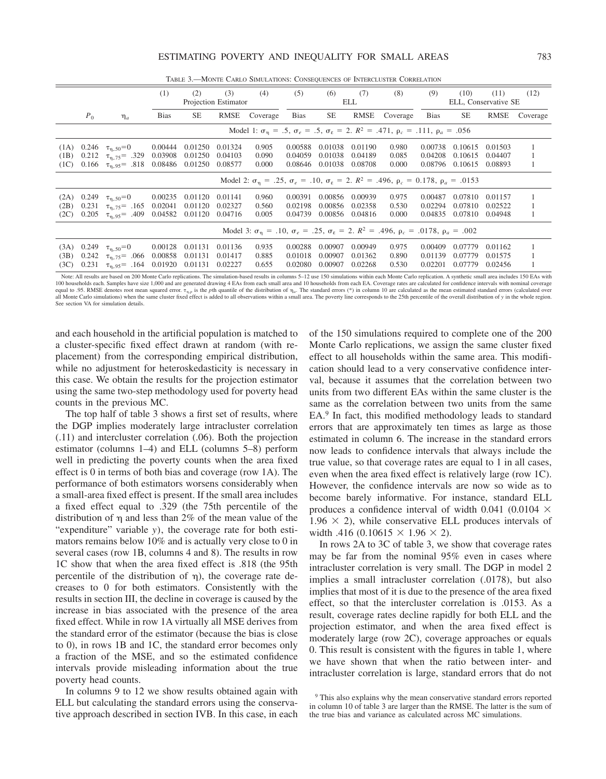|                                                                                                                    |                |                                                                                    | (1)                           | (2)                           | (3)<br>Projection Estimator   | (4)                     | (5)                           | (6)                           | (7)<br>ELL                    | (8)                                                                                                                                | (9)                           | (10)<br>ELL, Conservative SE  | (11)                          | (12)     |
|--------------------------------------------------------------------------------------------------------------------|----------------|------------------------------------------------------------------------------------|-------------------------------|-------------------------------|-------------------------------|-------------------------|-------------------------------|-------------------------------|-------------------------------|------------------------------------------------------------------------------------------------------------------------------------|-------------------------------|-------------------------------|-------------------------------|----------|
|                                                                                                                    | $P_0$          | $\eta_a$                                                                           | <b>Bias</b>                   | SE                            | RMSE                          | Coverage                | <b>Bias</b>                   | SE                            | <b>RMSE</b>                   | Coverage                                                                                                                           | Bias                          | <b>SE</b>                     | RMSE                          | Coverage |
|                                                                                                                    |                |                                                                                    |                               |                               |                               |                         |                               |                               |                               | Model 1: $\sigma_{\eta} = .5$ , $\sigma_{e} = .5$ , $\sigma_{\epsilon} = 2$ . $R^2 = .471$ , $\rho_{c} = .111$ , $\rho_{a} = .056$ |                               |                               |                               |          |
| (1A)<br>(1B)<br>(1C)                                                                                               | 0.212          | 0.246 $\tau_{n.50} = 0$<br>$\tau_{n.75} = .329$<br>0.166 $\tau_{n.95}$ = .818      | 0.00444<br>0.03908<br>0.08486 | 0.01250<br>0.01250<br>0.01250 | 0.01324<br>0.04103<br>0.08577 | 0.905<br>0.090<br>0.000 | 0.00588<br>0.04059<br>0.08646 | 0.01038<br>0.01038<br>0.01038 | 0.01190<br>0.04189<br>0.08708 | 0.980<br>0.085<br>0.000                                                                                                            | 0.00738<br>0.04208<br>0.08796 | 0.10615<br>0.10615<br>0.10615 | 0.01503<br>0.04407<br>0.08893 |          |
| Model 2: $\sigma_n = .25$ , $\sigma_e = .10$ , $\sigma_E = 2$ . $R^2 = .496$ , $\rho_c = 0.178$ , $\rho_a = .0153$ |                |                                                                                    |                               |                               |                               |                         |                               |                               |                               |                                                                                                                                    |                               |                               |                               |          |
| (2A)<br>(2B)<br>(2C)                                                                                               | 0.231<br>0.205 | 0.249 $\tau_{n.50} = 0$<br>$\tau_{n.75} = .165$<br>$\tau_{n.95} = .409$            | 0.00235<br>0.02041<br>0.04582 | 0.01120<br>0.01120<br>0.01120 | 0.01141<br>0.02327<br>0.04716 | 0.960<br>0.560<br>0.005 | 0.00391<br>0.02198<br>0.04739 | 0.00856<br>0.00856<br>0.00856 | 0.00939<br>0.02358<br>0.04816 | 0.975<br>0.530<br>0.000                                                                                                            | 0.00487<br>0.02294<br>0.04835 | 0.07810<br>0.07810<br>0.07810 | 0.01157<br>0.02522<br>0.04948 | 1        |
|                                                                                                                    |                |                                                                                    |                               |                               |                               |                         |                               |                               |                               | Model 3: $\sigma_n = .10$ , $\sigma_e = .25$ , $\sigma_{\epsilon} = 2$ . $R^2 = .496$ , $\rho_c = .0178$ , $\rho_a = .002$         |                               |                               |                               |          |
| (3A)<br>(3B)<br>(3C)                                                                                               | 0.242          | 0.249 $\tau_{\eta, .50} = 0$<br>$\tau_{n.75}$ = .066<br>0.231 $\tau_{n.95}$ = .164 | 0.00128<br>0.00858<br>0.01920 | 0.01131<br>0.01131<br>0.01131 | 0.01136<br>0.01417<br>0.02227 | 0.935<br>0.885<br>0.655 | 0.00288<br>0.01018<br>0.02080 | 0.00907<br>0.00907<br>0.00907 | 0.00949<br>0.01362<br>0.02268 | 0.975<br>0.890<br>0.530                                                                                                            | 0.00409<br>0.01139<br>0.02201 | 0.07779<br>0.07779<br>0.07779 | 0.01162<br>0.01575<br>0.02456 |          |

TABLE 3.—MONTE CARLO SIMULATIONS: CONSEQUENCES OF INTERCLUSTER CORRELATION

Note: All results are based on 200 Monte Carlo replications. The simulation-based results in columns 5–12 use 150 simulations within each Monte Carlo replication. A synthetic small area includes 150 EAs with 100 households each. Samples have size 1,000 and are generated drawing 4 EAs from each small area and 10 households from each EA. Coverage rates are calculated for confidence intervals with nominal coverage equal to .95. RMSE denotes root mean squared error.  $\tau_{\eta,\rho}$  is the pth quantile of the distribution of  $\eta_a$ . The standard errors (\*) in column 10 are calculated as the mean estimated standard errors (calculated over all Monte Carlo simulations) when the same cluster fixed effect is added to all observations within a small area. The poverty line corresponds to the 25th percentile of the overall distribution of y in the whole region. See section VA for simulation details.

and each household in the artificial population is matched to a cluster-specific fixed effect drawn at random (with replacement) from the corresponding empirical distribution, while no adjustment for heteroskedasticity is necessary in this case. We obtain the results for the projection estimator using the same two-step methodology used for poverty head counts in the previous MC.

The top half of table 3 shows a first set of results, where the DGP implies moderately large intracluster correlation (.11) and intercluster correlation (.06). Both the projection estimator (columns 1–4) and ELL (columns 5–8) perform well in predicting the poverty counts when the area fixed effect is 0 in terms of both bias and coverage (row 1A). The performance of both estimators worsens considerably when a small-area fixed effect is present. If the small area includes a fixed effect equal to .329 (the 75th percentile of the distribution of  $\eta$  and less than 2% of the mean value of the "expenditure" variable *y*), the coverage rate for both estimators remains below 10% and is actually very close to 0 in several cases (row 1B, columns 4 and 8). The results in row 1C show that when the area fixed effect is .818 (the 95th percentile of the distribution of  $\eta$ ), the coverage rate decreases to 0 for both estimators. Consistently with the results in section III, the decline in coverage is caused by the increase in bias associated with the presence of the area fixed effect. While in row 1A virtually all MSE derives from the standard error of the estimator (because the bias is close to 0), in rows 1B and 1C, the standard error becomes only a fraction of the MSE, and so the estimated confidence intervals provide misleading information about the true poverty head counts.

In columns 9 to 12 we show results obtained again with ELL but calculating the standard errors using the conservative approach described in section IVB. In this case, in each of the 150 simulations required to complete one of the 200 Monte Carlo replications, we assign the same cluster fixed effect to all households within the same area. This modification should lead to a very conservative confidence interval, because it assumes that the correlation between two units from two different EAs within the same cluster is the same as the correlation between two units from the same EA.9 In fact, this modified methodology leads to standard errors that are approximately ten times as large as those estimated in column 6. The increase in the standard errors now leads to confidence intervals that always include the true value, so that coverage rates are equal to 1 in all cases, even when the area fixed effect is relatively large (row 1C). However, the confidence intervals are now so wide as to become barely informative. For instance, standard ELL produces a confidence interval of width 0.041 (0.0104  $\times$  $1.96 \times 2$ , while conservative ELL produces intervals of width .416 (0.10615  $\times$  1.96  $\times$  2).

In rows 2A to 3C of table 3, we show that coverage rates may be far from the nominal 95% even in cases where intracluster correlation is very small. The DGP in model 2 implies a small intracluster correlation (.0178), but also implies that most of it is due to the presence of the area fixed effect, so that the intercluster correlation is .0153. As a result, coverage rates decline rapidly for both ELL and the projection estimator, and when the area fixed effect is moderately large (row 2C), coverage approaches or equals 0. This result is consistent with the figures in table 1, where we have shown that when the ratio between inter- and intracluster correlation is large, standard errors that do not

<sup>&</sup>lt;sup>9</sup> This also explains why the mean conservative standard errors reported in column 10 of table 3 are larger than the RMSE. The latter is the sum of the true bias and variance as calculated across MC simulations.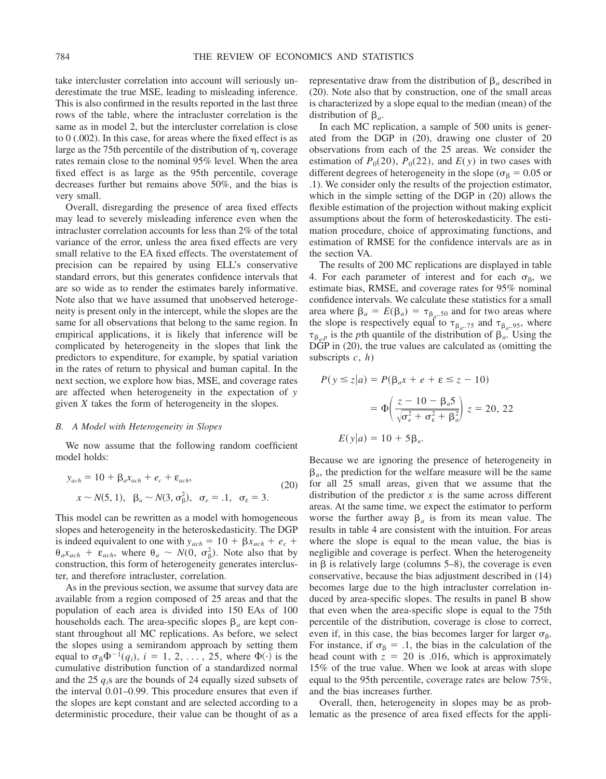take intercluster correlation into account will seriously underestimate the true MSE, leading to misleading inference. This is also confirmed in the results reported in the last three rows of the table, where the intracluster correlation is the same as in model 2, but the intercluster correlation is close to 0 (.002). In this case, for areas where the fixed effect is as large as the 75th percentile of the distribution of  $\eta$ , coverage rates remain close to the nominal 95% level. When the area fixed effect is as large as the 95th percentile, coverage decreases further but remains above 50%, and the bias is very small.

Overall, disregarding the presence of area fixed effects may lead to severely misleading inference even when the intracluster correlation accounts for less than 2% of the total variance of the error, unless the area fixed effects are very small relative to the EA fixed effects. The overstatement of precision can be repaired by using ELL's conservative standard errors, but this generates confidence intervals that are so wide as to render the estimates barely informative. Note also that we have assumed that unobserved heterogeneity is present only in the intercept, while the slopes are the same for all observations that belong to the same region. In empirical applications, it is likely that inference will be complicated by heterogeneity in the slopes that link the predictors to expenditure, for example, by spatial variation in the rates of return to physical and human capital. In the next section, we explore how bias, MSE, and coverage rates are affected when heterogeneity in the expectation of *y* given *X* takes the form of heterogeneity in the slopes.

# *B. A Model with Heterogeneity in Slopes*

We now assume that the following random coefficient model holds:

$$
y_{ach} = 10 + \beta_a x_{ach} + e_c + \varepsilon_{ach},
$$
  
\n
$$
x \sim N(5, 1), \ \beta_a \sim N(3, \sigma_\beta^2), \ \sigma_e = .1, \ \sigma_\epsilon = 3.
$$
 (20)

This model can be rewritten as a model with homogeneous slopes and heterogeneity in the heteroskedasticity. The DGP is indeed equivalent to one with  $y_{ach} = 10 + \beta x_{ach} + e_c$  $\theta_a x_{ach} + \varepsilon_{ach}$ , where  $\theta_a \sim N(0, \sigma_{\beta}^2)$ . Note also that by construction, this form of heterogeneity generates intercluster, and therefore intracluster, correlation.

As in the previous section, we assume that survey data are available from a region composed of 25 areas and that the population of each area is divided into 150 EAs of 100 households each. The area-specific slopes  $\beta_a$  are kept constant throughout all MC replications. As before, we select the slopes using a semirandom approach by setting them equal to  $\sigma_{\beta} \Phi^{-1}(q_i)$ ,  $i = 1, 2, \ldots, 25$ , where  $\Phi(\cdot)$  is the cumulative distribution function of a standardized normal and the 25 *qi*s are the bounds of 24 equally sized subsets of the interval 0.01–0.99. This procedure ensures that even if the slopes are kept constant and are selected according to a deterministic procedure, their value can be thought of as a representative draw from the distribution of  $\beta_a$  described in (20). Note also that by construction, one of the small areas is characterized by a slope equal to the median (mean) of the distribution of  $\beta_a$ .

In each MC replication, a sample of 500 units is generated from the DGP in (20), drawing one cluster of 20 observations from each of the 25 areas. We consider the estimation of  $P_0(20)$ ,  $P_0(22)$ , and  $E(y)$  in two cases with different degrees of heterogeneity in the slope ( $\sigma_{\beta} = 0.05$  or .1). We consider only the results of the projection estimator, which in the simple setting of the DGP in (20) allows the flexible estimation of the projection without making explicit assumptions about the form of heteroskedasticity. The estimation procedure, choice of approximating functions, and estimation of RMSE for the confidence intervals are as in the section VA.

The results of 200 MC replications are displayed in table 4. For each parameter of interest and for each  $\sigma_{\beta}$ , we estimate bias, RMSE, and coverage rates for 95% nominal confidence intervals. We calculate these statistics for a small area where  $\beta_a = E(\beta_a) = \tau_{\beta_a,50}$  and for two areas where the slope is respectively equal to  $\tau_{\beta_n,75}$  and  $\tau_{\beta_n,95}$ , where  $\tau_{\beta_a, p}$  is the *p*th quantile of the distribution of  $\beta_a$ . Using the DGP in  $(20)$ , the true values are calculated as (omitting the subscripts *c*, *h*)

$$
P(y \le z | a) = P(\beta_a x + e + \varepsilon \le z - 10)
$$

$$
= \Phi\left(\frac{z - 10 - \beta_a 5}{\sqrt{\sigma_e^2 + \sigma_e^2 + \beta_a^2}}\right) z = 20, 22
$$

$$
E(y | a) = 10 + 5\beta_a.
$$

Because we are ignoring the presence of heterogeneity in  $\beta_a$ , the prediction for the welfare measure will be the same for all 25 small areas, given that we assume that the distribution of the predictor  $x$  is the same across different areas. At the same time, we expect the estimator to perform worse the further away  $\beta_a$  is from its mean value. The results in table 4 are consistent with the intuition. For areas where the slope is equal to the mean value, the bias is negligible and coverage is perfect. When the heterogeneity in  $\beta$  is relatively large (columns 5–8), the coverage is even conservative, because the bias adjustment described in (14) becomes large due to the high intracluster correlation induced by area-specific slopes. The results in panel B show that even when the area-specific slope is equal to the 75th percentile of the distribution, coverage is close to correct, even if, in this case, the bias becomes larger for larger  $\sigma_{\beta}$ . For instance, if  $\sigma_{\beta} = .1$ , the bias in the calculation of the head count with  $z = 20$  is .016, which is approximately 15% of the true value. When we look at areas with slope equal to the 95th percentile, coverage rates are below 75%, and the bias increases further.

Overall, then, heterogeneity in slopes may be as problematic as the presence of area fixed effects for the appli-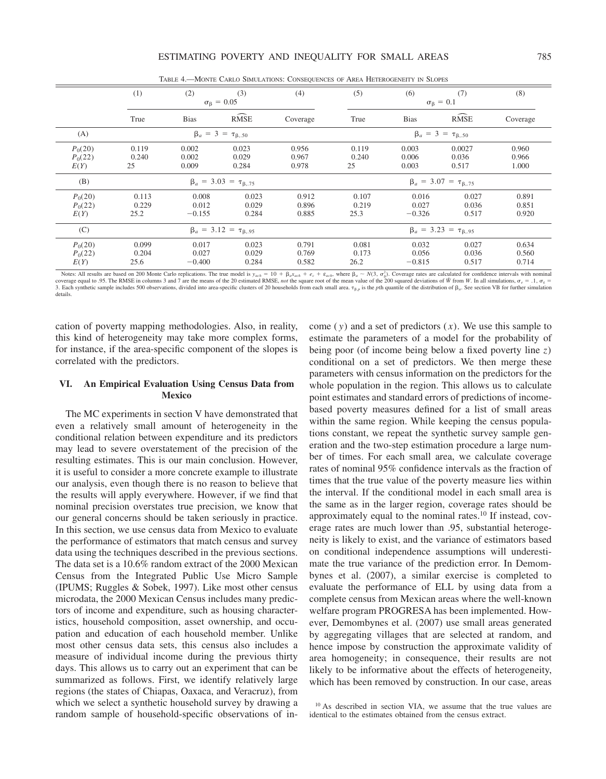|           | (1)   | (2)         | (3)                                | (4)      | (5)                                | (6)                                | (7)                               | (8)      |  |  |
|-----------|-------|-------------|------------------------------------|----------|------------------------------------|------------------------------------|-----------------------------------|----------|--|--|
|           |       |             | $\sigma_{\beta} = 0.05$            |          |                                    | $\sigma_{\beta} = 0.1$             |                                   |          |  |  |
|           | True  | <b>Bias</b> | 一<br><b>RMSE</b>                   | Coverage | True                               | <b>Bias</b>                        | 一<br><b>RMSE</b>                  | Coverage |  |  |
| (A)       |       |             | $\beta_a = 3 = \tau_{\beta, .50}$  |          |                                    |                                    | $\beta_a = 3 = \tau_{\beta, .50}$ |          |  |  |
| $P_0(20)$ | 0.119 | 0.002       | 0.023                              | 0.956    | 0.119                              | 0.003                              | 0.0027                            | 0.960    |  |  |
| $P_0(22)$ | 0.240 | 0.002       | 0.029                              | 0.967    | 0.240                              | 0.006                              | 0.036                             | 0.966    |  |  |
| E(Y)      | 25    | 0.009       | 0.284                              | 0.978    | 25                                 | 0.003                              | 0.517                             | 1.000    |  |  |
| (B)       |       |             | $\beta_a = 3.03 = \tau_{\beta,75}$ |          | $\beta_a = 3.07 = \tau_{\beta,75}$ |                                    |                                   |          |  |  |
| $P_0(20)$ | 0.113 | 0.008       | 0.023                              | 0.912    | 0.107                              | 0.016                              | 0.027                             | 0.891    |  |  |
| $P_0(22)$ | 0.229 | 0.012       | 0.029                              | 0.896    | 0.219                              | 0.027                              | 0.036                             | 0.851    |  |  |
| E(Y)      | 25.2  | $-0.155$    | 0.284                              | 0.885    | 25.3                               | $-0.326$                           | 0.517                             | 0.920    |  |  |
| (C)       |       |             | $\beta_a = 3.12 = \tau_{\beta,95}$ |          |                                    | $\beta_a = 3.23 = \tau_{\beta,95}$ |                                   |          |  |  |
| $P_0(20)$ | 0.099 | 0.017       | 0.023                              | 0.791    | 0.081                              | 0.032                              | 0.027                             | 0.634    |  |  |
| $P_0(22)$ | 0.204 | 0.027       | 0.029                              | 0.769    | 0.173                              | 0.056                              | 0.036                             | 0.560    |  |  |
| E(Y)      | 25.6  | $-0.400$    | 0.284                              | 0.582    | 26.2                               | $-0.815$                           | 0.517                             | 0.714    |  |  |
|           |       |             |                                    |          | .                                  |                                    |                                   |          |  |  |

TABLE 4.—MONTE CARLO SIMULATIONS: CONSEQUENCES OF AREA HETEROGENEITY IN SLOPES

Notes: All results are based on 200 Monte Carlo replications. The true model is  $y_{ach} = 10 + \beta_a x_{ach} + e_c + \epsilon_{ach}$ , where  $\beta_a \sim N(3, \sigma_b^2)$ . Coverage rates are calculated for confidence intervals with nominal coverage equal to . 3. Each synthetic sample includes 500 observations, divided into area-specific clusters of 20 households from each small area.  $\tau_{\beta,\rho}$  is the pth quantile of the distribution of  $\beta_a$ . See section VB for further simula details.

cation of poverty mapping methodologies. Also, in reality, this kind of heterogeneity may take more complex forms, for instance, if the area-specific component of the slopes is correlated with the predictors.

# **VI. An Empirical Evaluation Using Census Data from Mexico**

The MC experiments in section V have demonstrated that even a relatively small amount of heterogeneity in the conditional relation between expenditure and its predictors may lead to severe overstatement of the precision of the resulting estimates. This is our main conclusion. However, it is useful to consider a more concrete example to illustrate our analysis, even though there is no reason to believe that the results will apply everywhere. However, if we find that nominal precision overstates true precision, we know that our general concerns should be taken seriously in practice. In this section, we use census data from Mexico to evaluate the performance of estimators that match census and survey data using the techniques described in the previous sections. The data set is a 10.6% random extract of the 2000 Mexican Census from the Integrated Public Use Micro Sample (IPUMS; Ruggles & Sobek, 1997). Like most other census microdata, the 2000 Mexican Census includes many predictors of income and expenditure, such as housing characteristics, household composition, asset ownership, and occupation and education of each household member. Unlike most other census data sets, this census also includes a measure of individual income during the previous thirty days. This allows us to carry out an experiment that can be summarized as follows. First, we identify relatively large regions (the states of Chiapas, Oaxaca, and Veracruz), from which we select a synthetic household survey by drawing a random sample of household-specific observations of income  $(y)$  and a set of predictors  $(x)$ . We use this sample to estimate the parameters of a model for the probability of being poor (of income being below a fixed poverty line *z*) conditional on a set of predictors. We then merge these parameters with census information on the predictors for the whole population in the region. This allows us to calculate point estimates and standard errors of predictions of incomebased poverty measures defined for a list of small areas within the same region. While keeping the census populations constant, we repeat the synthetic survey sample generation and the two-step estimation procedure a large number of times. For each small area, we calculate coverage rates of nominal 95% confidence intervals as the fraction of times that the true value of the poverty measure lies within the interval. If the conditional model in each small area is the same as in the larger region, coverage rates should be approximately equal to the nominal rates.10 If instead, coverage rates are much lower than .95, substantial heterogeneity is likely to exist, and the variance of estimators based on conditional independence assumptions will underestimate the true variance of the prediction error. In Demombynes et al. (2007), a similar exercise is completed to evaluate the performance of ELL by using data from a complete census from Mexican areas where the well-known welfare program PROGRESA has been implemented. However, Demombynes et al. (2007) use small areas generated by aggregating villages that are selected at random, and hence impose by construction the approximate validity of area homogeneity; in consequence, their results are not likely to be informative about the effects of heterogeneity, which has been removed by construction. In our case, areas

<sup>10</sup> As described in section VIA, we assume that the true values are identical to the estimates obtained from the census extract.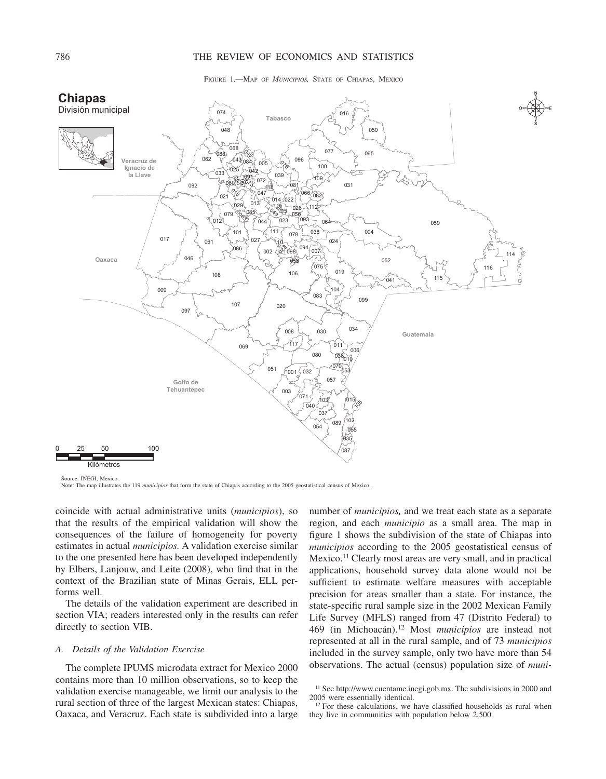# THE REVIEW OF ECONOMICS AND STATISTICS

FIGURE 1.—MAP OF *MUNICIPIOS,* STATE OF CHIAPAS, MEXICO



Source: INEGI, Mexico. Note: The map illustrates the 119 *municipios* that form the state of Chiapas according to the 2005 geostatistical census of Mexico.

coincide with actual administrative units (*municipios*), so that the results of the empirical validation will show the consequences of the failure of homogeneity for poverty estimates in actual *municipios.* A validation exercise similar to the one presented here has been developed independently by Elbers, Lanjouw, and Leite (2008), who find that in the context of the Brazilian state of Minas Gerais, ELL performs well.

The details of the validation experiment are described in section VIA; readers interested only in the results can refer directly to section VIB.

# *A. Details of the Validation Exercise*

The complete IPUMS microdata extract for Mexico 2000 contains more than 10 million observations, so to keep the validation exercise manageable, we limit our analysis to the rural section of three of the largest Mexican states: Chiapas, Oaxaca, and Veracruz. Each state is subdivided into a large number of *municipios,* and we treat each state as a separate region, and each *municipio* as a small area. The map in figure 1 shows the subdivision of the state of Chiapas into *municipios* according to the 2005 geostatistical census of Mexico.<sup>11</sup> Clearly most areas are very small, and in practical applications, household survey data alone would not be sufficient to estimate welfare measures with acceptable precision for areas smaller than a state. For instance, the state-specific rural sample size in the 2002 Mexican Family Life Survey (MFLS) ranged from 47 (Distrito Federal) to 469 (in Michoacán).<sup>12</sup> Most *municipios* are instead not represented at all in the rural sample, and of 73 *municipios* included in the survey sample, only two have more than 54 observations. The actual (census) population size of *muni-*

 See http://www.cuentame.inegi.gob.mx. The subdivisions in 2000 and 2005 were essentially identical.

<sup>&</sup>lt;sup>12</sup> For these calculations, we have classified households as rural when they live in communities with population below 2,500.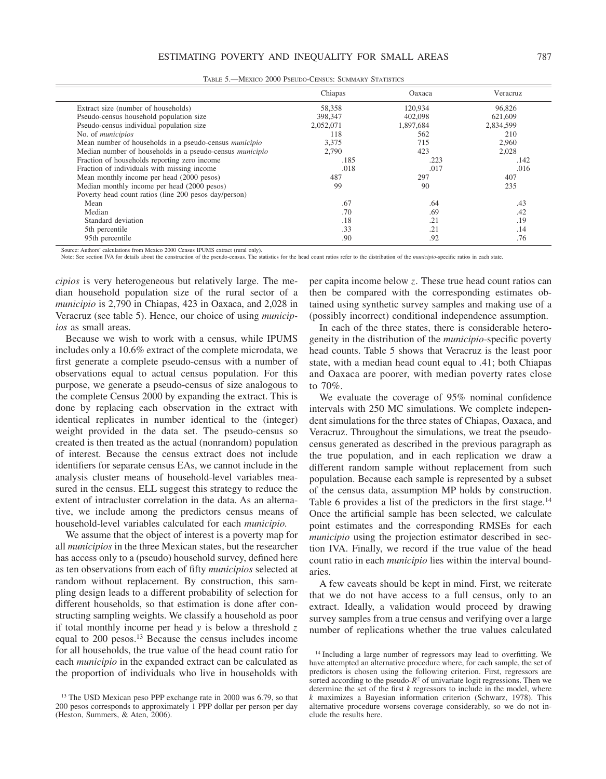|                                                          | Chiapas   | Oaxaca    | Veracruz  |
|----------------------------------------------------------|-----------|-----------|-----------|
| Extract size (number of households)                      | 58,358    | 120,934   | 96,826    |
| Pseudo-census household population size                  | 398,347   | 402,098   | 621,609   |
| Pseudo-census individual population size                 | 2,052,071 | 1,897,684 | 2,834,599 |
| No. of <i>municipios</i>                                 | 118       | 562       | 210       |
| Mean number of households in a pseudo-census municipio   | 3,375     | 715       | 2,960     |
| Median number of households in a pseudo-census municipio | 2,790     | 423       | 2,028     |
| Fraction of households reporting zero income             | .185      | .223      | .142      |
| Fraction of individuals with missing income              | .018      | .017      | .016      |
| Mean monthly income per head (2000 pesos)                | 487       | 297       | 407       |
| Median monthly income per head (2000 pesos)              | 99        | 90        | 235       |
| Poverty head count ratios (line 200 pesos day/person)    |           |           |           |
| Mean                                                     | .67       | .64       | .43       |
| Median                                                   | .70       | .69       | .42       |
| Standard deviation                                       | .18       | .21       | .19       |
| 5th percentile                                           | .33       | .21       | .14       |
| 95th percentile                                          | .90       | .92       | .76       |

TABLE 5.—MEXICO 2000 PSEUDO-CENSUS: SUMMARY STATISTICS

Source: Authors' calculations from Mexico 2000 Census IPUMS extract (rural only).

Note: See section IVA for details about the construction of the pseudo-census. The statistics for the head count ratios refer to the distribution of the *municipio*-specific ratios in each state.

*cipios* is very heterogeneous but relatively large. The median household population size of the rural sector of a *municipio* is 2,790 in Chiapas, 423 in Oaxaca, and 2,028 in Veracruz (see table 5). Hence, our choice of using *municipios* as small areas.

Because we wish to work with a census, while IPUMS includes only a 10.6% extract of the complete microdata, we first generate a complete pseudo-census with a number of observations equal to actual census population. For this purpose, we generate a pseudo-census of size analogous to the complete Census 2000 by expanding the extract. This is done by replacing each observation in the extract with identical replicates in number identical to the (integer) weight provided in the data set. The pseudo-census so created is then treated as the actual (nonrandom) population of interest. Because the census extract does not include identifiers for separate census EAs, we cannot include in the analysis cluster means of household-level variables measured in the census. ELL suggest this strategy to reduce the extent of intracluster correlation in the data. As an alternative, we include among the predictors census means of household-level variables calculated for each *municipio.*

We assume that the object of interest is a poverty map for all *municipios* in the three Mexican states, but the researcher has access only to a (pseudo) household survey, defined here as ten observations from each of fifty *municipios* selected at random without replacement. By construction, this sampling design leads to a different probability of selection for different households, so that estimation is done after constructing sampling weights. We classify a household as poor if total monthly income per head *y* is below a threshold *z* equal to 200 pesos.13 Because the census includes income for all households, the true value of the head count ratio for each *municipio* in the expanded extract can be calculated as the proportion of individuals who live in households with per capita income below *z*. These true head count ratios can then be compared with the corresponding estimates obtained using synthetic survey samples and making use of a (possibly incorrect) conditional independence assumption.

In each of the three states, there is considerable heterogeneity in the distribution of the *municipio*-specific poverty head counts. Table 5 shows that Veracruz is the least poor state, with a median head count equal to .41; both Chiapas and Oaxaca are poorer, with median poverty rates close to 70%.

We evaluate the coverage of 95% nominal confidence intervals with 250 MC simulations. We complete independent simulations for the three states of Chiapas, Oaxaca, and Veracruz. Throughout the simulations, we treat the pseudocensus generated as described in the previous paragraph as the true population, and in each replication we draw a different random sample without replacement from such population. Because each sample is represented by a subset of the census data, assumption MP holds by construction. Table 6 provides a list of the predictors in the first stage.<sup>14</sup> Once the artificial sample has been selected, we calculate point estimates and the corresponding RMSEs for each *municipio* using the projection estimator described in section IVA. Finally, we record if the true value of the head count ratio in each *municipio* lies within the interval boundaries.

A few caveats should be kept in mind. First, we reiterate that we do not have access to a full census, only to an extract. Ideally, a validation would proceed by drawing survey samples from a true census and verifying over a large number of replications whether the true values calculated

<sup>&</sup>lt;sup>13</sup> The USD Mexican peso PPP exchange rate in 2000 was 6.79, so that 200 pesos corresponds to approximately 1 PPP dollar per person per day (Heston, Summers, & Aten, 2006).

<sup>&</sup>lt;sup>14</sup> Including a large number of regressors may lead to overfitting. We have attempted an alternative procedure where, for each sample, the set of predictors is chosen using the following criterion. First, regressors are sorted according to the pseudo- $R^2$  of univariate logit regressions. Then we determine the set of the first *k* regressors to include in the model, where *k* maximizes a Bayesian information criterion (Schwarz, 1978). This alternative procedure worsens coverage considerably, so we do not include the results here.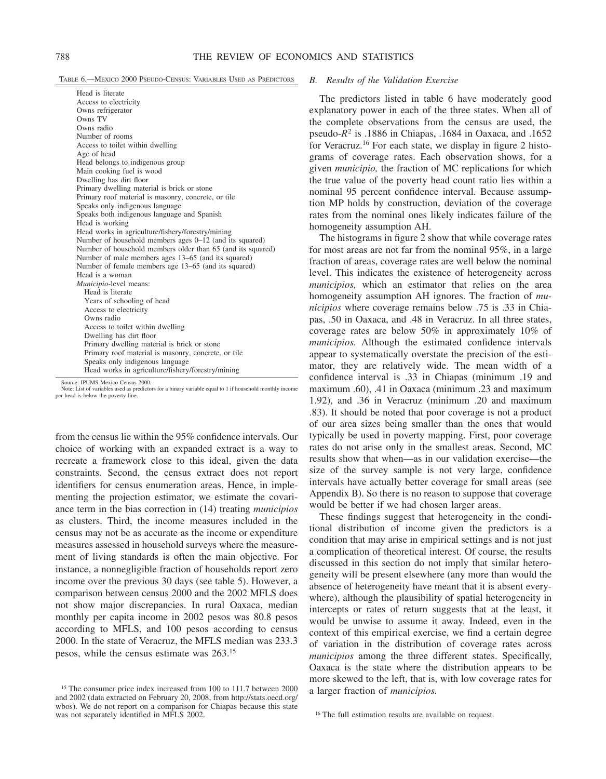TABLE 6.—MEXICO 2000 PSEUDO-CENSUS: VARIABLES USED AS PREDICTORS

| Access to electricity<br>Owns refrigerator<br>Owns TV<br>Owns radio<br>Number of rooms<br>Access to toilet within dwelling<br>Age of head<br>Head belongs to indigenous group<br>Main cooking fuel is wood<br>Dwelling has dirt floor<br>Primary dwelling material is brick or stone<br>Primary roof material is masonry, concrete, or tile<br>Speaks only indigenous language<br>Speaks both indigenous language and Spanish<br>Head is working<br>Head works in agriculture/fishery/forestry/mining<br>Number of household members ages 0–12 (and its squared)<br>Number of household members older than 65 (and its squared)<br>Number of male members ages 13–65 (and its squared)<br>Number of female members age 13–65 (and its squared)<br>Head is a woman<br>Municipio-level means:<br>Head is literate<br>Years of schooling of head<br>Access to electricity<br>Owns radio<br>Access to toilet within dwelling<br>Dwelling has dirt floor<br>Primary dwelling material is brick or stone<br>Primary roof material is masonry, concrete, or tile | Head is literate                |  |
|-----------------------------------------------------------------------------------------------------------------------------------------------------------------------------------------------------------------------------------------------------------------------------------------------------------------------------------------------------------------------------------------------------------------------------------------------------------------------------------------------------------------------------------------------------------------------------------------------------------------------------------------------------------------------------------------------------------------------------------------------------------------------------------------------------------------------------------------------------------------------------------------------------------------------------------------------------------------------------------------------------------------------------------------------------------|---------------------------------|--|
|                                                                                                                                                                                                                                                                                                                                                                                                                                                                                                                                                                                                                                                                                                                                                                                                                                                                                                                                                                                                                                                           |                                 |  |
|                                                                                                                                                                                                                                                                                                                                                                                                                                                                                                                                                                                                                                                                                                                                                                                                                                                                                                                                                                                                                                                           |                                 |  |
|                                                                                                                                                                                                                                                                                                                                                                                                                                                                                                                                                                                                                                                                                                                                                                                                                                                                                                                                                                                                                                                           |                                 |  |
|                                                                                                                                                                                                                                                                                                                                                                                                                                                                                                                                                                                                                                                                                                                                                                                                                                                                                                                                                                                                                                                           |                                 |  |
|                                                                                                                                                                                                                                                                                                                                                                                                                                                                                                                                                                                                                                                                                                                                                                                                                                                                                                                                                                                                                                                           |                                 |  |
|                                                                                                                                                                                                                                                                                                                                                                                                                                                                                                                                                                                                                                                                                                                                                                                                                                                                                                                                                                                                                                                           |                                 |  |
|                                                                                                                                                                                                                                                                                                                                                                                                                                                                                                                                                                                                                                                                                                                                                                                                                                                                                                                                                                                                                                                           |                                 |  |
|                                                                                                                                                                                                                                                                                                                                                                                                                                                                                                                                                                                                                                                                                                                                                                                                                                                                                                                                                                                                                                                           |                                 |  |
|                                                                                                                                                                                                                                                                                                                                                                                                                                                                                                                                                                                                                                                                                                                                                                                                                                                                                                                                                                                                                                                           |                                 |  |
|                                                                                                                                                                                                                                                                                                                                                                                                                                                                                                                                                                                                                                                                                                                                                                                                                                                                                                                                                                                                                                                           |                                 |  |
|                                                                                                                                                                                                                                                                                                                                                                                                                                                                                                                                                                                                                                                                                                                                                                                                                                                                                                                                                                                                                                                           |                                 |  |
|                                                                                                                                                                                                                                                                                                                                                                                                                                                                                                                                                                                                                                                                                                                                                                                                                                                                                                                                                                                                                                                           |                                 |  |
|                                                                                                                                                                                                                                                                                                                                                                                                                                                                                                                                                                                                                                                                                                                                                                                                                                                                                                                                                                                                                                                           |                                 |  |
|                                                                                                                                                                                                                                                                                                                                                                                                                                                                                                                                                                                                                                                                                                                                                                                                                                                                                                                                                                                                                                                           |                                 |  |
|                                                                                                                                                                                                                                                                                                                                                                                                                                                                                                                                                                                                                                                                                                                                                                                                                                                                                                                                                                                                                                                           |                                 |  |
|                                                                                                                                                                                                                                                                                                                                                                                                                                                                                                                                                                                                                                                                                                                                                                                                                                                                                                                                                                                                                                                           |                                 |  |
|                                                                                                                                                                                                                                                                                                                                                                                                                                                                                                                                                                                                                                                                                                                                                                                                                                                                                                                                                                                                                                                           |                                 |  |
|                                                                                                                                                                                                                                                                                                                                                                                                                                                                                                                                                                                                                                                                                                                                                                                                                                                                                                                                                                                                                                                           |                                 |  |
|                                                                                                                                                                                                                                                                                                                                                                                                                                                                                                                                                                                                                                                                                                                                                                                                                                                                                                                                                                                                                                                           |                                 |  |
|                                                                                                                                                                                                                                                                                                                                                                                                                                                                                                                                                                                                                                                                                                                                                                                                                                                                                                                                                                                                                                                           |                                 |  |
|                                                                                                                                                                                                                                                                                                                                                                                                                                                                                                                                                                                                                                                                                                                                                                                                                                                                                                                                                                                                                                                           |                                 |  |
|                                                                                                                                                                                                                                                                                                                                                                                                                                                                                                                                                                                                                                                                                                                                                                                                                                                                                                                                                                                                                                                           |                                 |  |
|                                                                                                                                                                                                                                                                                                                                                                                                                                                                                                                                                                                                                                                                                                                                                                                                                                                                                                                                                                                                                                                           |                                 |  |
|                                                                                                                                                                                                                                                                                                                                                                                                                                                                                                                                                                                                                                                                                                                                                                                                                                                                                                                                                                                                                                                           |                                 |  |
|                                                                                                                                                                                                                                                                                                                                                                                                                                                                                                                                                                                                                                                                                                                                                                                                                                                                                                                                                                                                                                                           |                                 |  |
|                                                                                                                                                                                                                                                                                                                                                                                                                                                                                                                                                                                                                                                                                                                                                                                                                                                                                                                                                                                                                                                           |                                 |  |
|                                                                                                                                                                                                                                                                                                                                                                                                                                                                                                                                                                                                                                                                                                                                                                                                                                                                                                                                                                                                                                                           |                                 |  |
|                                                                                                                                                                                                                                                                                                                                                                                                                                                                                                                                                                                                                                                                                                                                                                                                                                                                                                                                                                                                                                                           |                                 |  |
|                                                                                                                                                                                                                                                                                                                                                                                                                                                                                                                                                                                                                                                                                                                                                                                                                                                                                                                                                                                                                                                           |                                 |  |
|                                                                                                                                                                                                                                                                                                                                                                                                                                                                                                                                                                                                                                                                                                                                                                                                                                                                                                                                                                                                                                                           |                                 |  |
|                                                                                                                                                                                                                                                                                                                                                                                                                                                                                                                                                                                                                                                                                                                                                                                                                                                                                                                                                                                                                                                           | Speaks only indigenous language |  |
| Head works in agriculture/fishery/forestry/mining                                                                                                                                                                                                                                                                                                                                                                                                                                                                                                                                                                                                                                                                                                                                                                                                                                                                                                                                                                                                         |                                 |  |

Source: IPUMS Mexico Census 2000.

Note: List of variables used as predictors for a binary variable equal to 1 if household monthly income per head is below the poverty line.

from the census lie within the 95% confidence intervals. Our choice of working with an expanded extract is a way to recreate a framework close to this ideal, given the data constraints. Second, the census extract does not report identifiers for census enumeration areas. Hence, in implementing the projection estimator, we estimate the covariance term in the bias correction in (14) treating *municipios* as clusters. Third, the income measures included in the census may not be as accurate as the income or expenditure measures assessed in household surveys where the measurement of living standards is often the main objective. For instance, a nonnegligible fraction of households report zero income over the previous 30 days (see table 5). However, a comparison between census 2000 and the 2002 MFLS does not show major discrepancies. In rural Oaxaca, median monthly per capita income in 2002 pesos was 80.8 pesos according to MFLS, and 100 pesos according to census 2000. In the state of Veracruz, the MFLS median was 233.3 pesos, while the census estimate was 263.15

### *B. Results of the Validation Exercise*

The predictors listed in table 6 have moderately good explanatory power in each of the three states. When all of the complete observations from the census are used, the pseudo- $R^2$  is .1886 in Chiapas, .1684 in Oaxaca, and .1652 for Veracruz.16 For each state, we display in figure 2 histograms of coverage rates. Each observation shows, for a given *municipio,* the fraction of MC replications for which the true value of the poverty head count ratio lies within a nominal 95 percent confidence interval. Because assumption MP holds by construction, deviation of the coverage rates from the nominal ones likely indicates failure of the homogeneity assumption AH.

The histograms in figure 2 show that while coverage rates for most areas are not far from the nominal 95%, in a large fraction of areas, coverage rates are well below the nominal level. This indicates the existence of heterogeneity across *municipios,* which an estimator that relies on the area homogeneity assumption AH ignores. The fraction of *municipios* where coverage remains below .75 is .33 in Chiapas, .50 in Oaxaca, and .48 in Veracruz. In all three states, coverage rates are below 50% in approximately 10% of *municipios.* Although the estimated confidence intervals appear to systematically overstate the precision of the estimator, they are relatively wide. The mean width of a confidence interval is .33 in Chiapas (minimum .19 and maximum .60), .41 in Oaxaca (minimum .23 and maximum 1.92), and .36 in Veracruz (minimum .20 and maximum .83). It should be noted that poor coverage is not a product of our area sizes being smaller than the ones that would typically be used in poverty mapping. First, poor coverage rates do not arise only in the smallest areas. Second, MC results show that when—as in our validation exercise—the size of the survey sample is not very large, confidence intervals have actually better coverage for small areas (see Appendix B). So there is no reason to suppose that coverage would be better if we had chosen larger areas.

These findings suggest that heterogeneity in the conditional distribution of income given the predictors is a condition that may arise in empirical settings and is not just a complication of theoretical interest. Of course, the results discussed in this section do not imply that similar heterogeneity will be present elsewhere (any more than would the absence of heterogeneity have meant that it is absent everywhere), although the plausibility of spatial heterogeneity in intercepts or rates of return suggests that at the least, it would be unwise to assume it away. Indeed, even in the context of this empirical exercise, we find a certain degree of variation in the distribution of coverage rates across *municipios* among the three different states. Specifically, Oaxaca is the state where the distribution appears to be more skewed to the left, that is, with low coverage rates for

<sup>&</sup>lt;sup>15</sup> The consumer price index increased from 100 to 111.7 between 2000 a larger fraction of *municipios*. and 2002 (data extracted on February 20, 2008, from http://stats.oecd.org/ wbos). We do not report on a comparison for Chiapas because this state was not separately identified in MFLS 2002. <sup>16</sup> The full estimation results are available on request.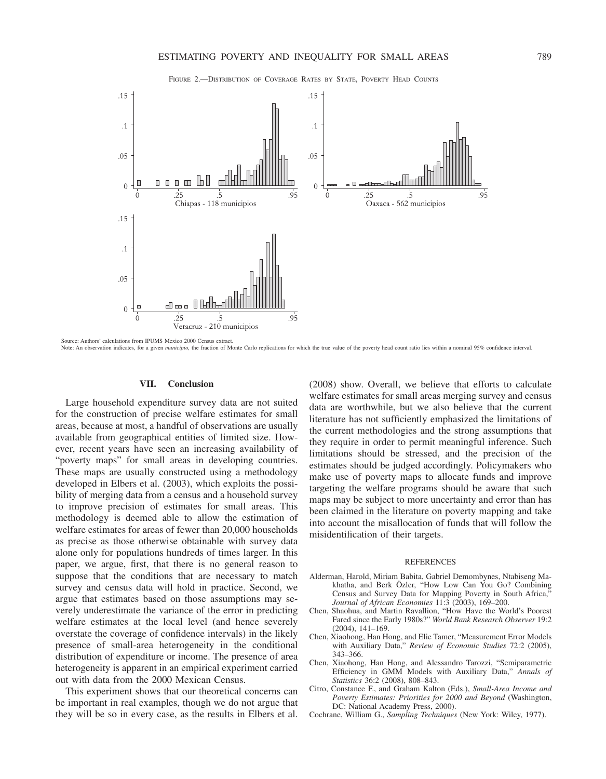

Source: Authors' calculations from IPUMS Mexico 2000 Census extract.

Note: An observation indicates, for a given *municipio*, the fraction of Monte Carlo replications for which the true value of the poverty head count ratio lies within a nominal 95% confidence interval.

## **VII. Conclusion**

Large household expenditure survey data are not suited for the construction of precise welfare estimates for small areas, because at most, a handful of observations are usually available from geographical entities of limited size. However, recent years have seen an increasing availability of "poverty maps" for small areas in developing countries. These maps are usually constructed using a methodology developed in Elbers et al. (2003), which exploits the possibility of merging data from a census and a household survey to improve precision of estimates for small areas. This methodology is deemed able to allow the estimation of welfare estimates for areas of fewer than 20,000 households as precise as those otherwise obtainable with survey data alone only for populations hundreds of times larger. In this paper, we argue, first, that there is no general reason to suppose that the conditions that are necessary to match survey and census data will hold in practice. Second, we argue that estimates based on those assumptions may severely underestimate the variance of the error in predicting welfare estimates at the local level (and hence severely overstate the coverage of confidence intervals) in the likely presence of small-area heterogeneity in the conditional distribution of expenditure or income. The presence of area heterogeneity is apparent in an empirical experiment carried out with data from the 2000 Mexican Census.

This experiment shows that our theoretical concerns can be important in real examples, though we do not argue that they will be so in every case, as the results in Elbers et al. (2008) show. Overall, we believe that efforts to calculate welfare estimates for small areas merging survey and census data are worthwhile, but we also believe that the current literature has not sufficiently emphasized the limitations of the current methodologies and the strong assumptions that they require in order to permit meaningful inference. Such limitations should be stressed, and the precision of the estimates should be judged accordingly. Policymakers who make use of poverty maps to allocate funds and improve targeting the welfare programs should be aware that such maps may be subject to more uncertainty and error than has been claimed in the literature on poverty mapping and take into account the misallocation of funds that will follow the misidentification of their targets.

#### REFERENCES

- Alderman, Harold, Miriam Babita, Gabriel Demombynes, Ntabiseng Makhatha, and Berk Özler, "How Low Can You Go? Combining Census and Survey Data for Mapping Poverty in South Africa," *Journal of African Economies* 11:3 (2003), 169–200.
- Chen, Shaohua, and Martin Ravallion, "How Have the World's Poorest Fared since the Early 1980s?" *World Bank Research Observer* 19:2 (2004), 141–169.
- Chen, Xiaohong, Han Hong, and Elie Tamer, "Measurement Error Models with Auxiliary Data," *Review of Economic Studies* 72:2 (2005), 343–366.
- Chen, Xiaohong, Han Hong, and Alessandro Tarozzi, "Semiparametric Efficiency in GMM Models with Auxiliary Data," *Annals of Statistics* 36:2 (2008), 808–843.
- Citro, Constance F., and Graham Kalton (Eds.), *Small-Area Income and Poverty Estimates: Priorities for 2000 and Beyond* (Washington, DC: National Academy Press, 2000).
- Cochrane, William G., *Sampling Techniques* (New York: Wiley, 1977).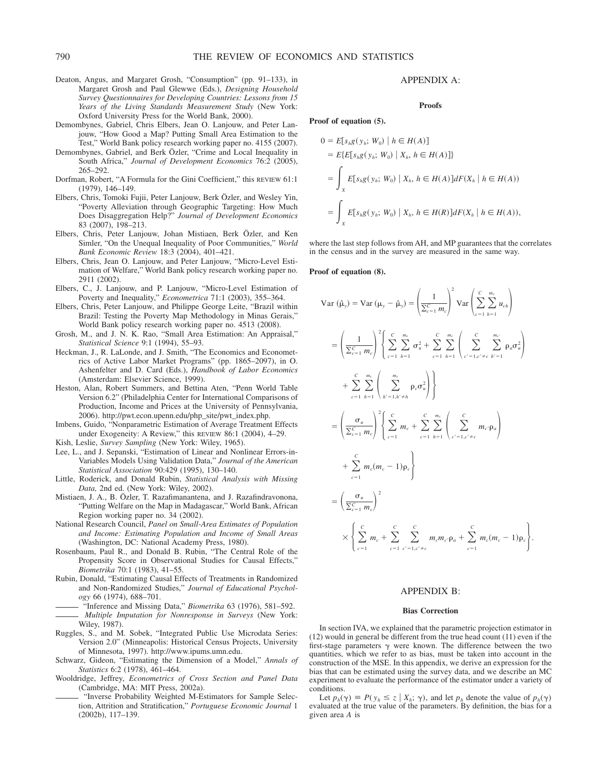- Deaton, Angus, and Margaret Grosh, "Consumption" (pp. 91–133), in Margaret Grosh and Paul Glewwe (Eds.), *Designing Household Survey Questionnaires for Developing Countries: Lessons from 15 Years of the Living Standards Measurement Study* (New York: Oxford University Press for the World Bank, 2000).
- Demombynes, Gabriel, Chris Elbers, Jean O. Lanjouw, and Peter Lanjouw, "How Good a Map? Putting Small Area Estimation to the Test," World Bank policy research working paper no. 4155 (2007).
- Demombynes, Gabriel, and Berk Ozler, "Crime and Local Inequality in South Africa," *Journal of Development Economics* 76:2 (2005), 265–292.
- Dorfman, Robert, "A Formula for the Gini Coefficient," this REVIEW 61:1 (1979), 146–149.
- Elbers, Chris, Tomoki Fujii, Peter Lanjouw, Berk Özler, and Wesley Yin, "Poverty Alleviation through Geographic Targeting: How Much Does Disaggregation Help?" *Journal of Development Economics* 83 (2007), 198–213.
- Elbers, Chris, Peter Lanjouw, Johan Mistiaen, Berk Özler, and Ken Simler, "On the Unequal Inequality of Poor Communities," *World Bank Economic Review* 18:3 (2004), 401–421.
- Elbers, Chris, Jean O. Lanjouw, and Peter Lanjouw, "Micro-Level Estimation of Welfare," World Bank policy research working paper no. 2911 (2002).
- Elbers, C., J. Lanjouw, and P. Lanjouw, "Micro-Level Estimation of Poverty and Inequality," *Econometrica* 71:1 (2003), 355–364.
- Elbers, Chris, Peter Lanjouw, and Philippe George Leite, "Brazil within Brazil: Testing the Poverty Map Methodology in Minas Gerais," World Bank policy research working paper no. 4513 (2008).
- Grosh, M., and J. N. K. Rao, "Small Area Estimation: An Appraisal," *Statistical Science* 9:1 (1994), 55–93.
- Heckman, J., R. LaLonde, and J. Smith, "The Economics and Econometrics of Active Labor Market Programs" (pp. 1865–2097), in O. Ashenfelter and D. Card (Eds.), *Handbook of Labor Economics* (Amsterdam: Elsevier Science, 1999).
- Heston, Alan, Robert Summers, and Bettina Aten, "Penn World Table Version 6.2" (Philadelphia Center for International Comparisons of Production, Income and Prices at the University of Pennsylvania, 2006). http://pwt.econ.upenn.edu/php\_site/pwt\_index.php.
- Imbens, Guido, "Nonparametric Estimation of Average Treatment Effects under Exogeneity: A Review," this REVIEW 86:1 (2004), 4-29.
- Kish, Leslie, *Survey Sampling* (New York: Wiley, 1965).
- Lee, L., and J. Sepanski, "Estimation of Linear and Nonlinear Errors-in-Variables Models Using Validation Data," *Journal of the American Statistical Association* 90:429 (1995), 130–140.
- Little, Roderick, and Donald Rubin, *Statistical Analysis with Missing Data,* 2nd ed. (New York: Wiley, 2002).
- Mistiaen, J. A., B. Özler, T. Razafimanantena, and J. Razafindravonona, "Putting Welfare on the Map in Madagascar," World Bank, African Region working paper no. 34 (2002).
- National Research Council, *Panel on Small-Area Estimates of Population and Income: Estimating Population and Income of Small Areas* (Washington, DC: National Academy Press, 1980).
- Rosenbaum, Paul R., and Donald B. Rubin, "The Central Role of the Propensity Score in Observational Studies for Causal Effects," *Biometrika* 70:1 (1983), 41–55.
- Rubin, Donald, "Estimating Causal Effects of Treatments in Randomized and Non-Randomized Studies," *Journal of Educational Psychology* 66 (1974), 688–701.
- "Inference and Missing Data," *Biometrika* 63 (1976), 581-592. *Multiple Imputation for Nonresponse in Surveys* (New York: Wiley, 1987).
- Ruggles, S., and M. Sobek, "Integrated Public Use Microdata Series: Version 2.0" (Minneapolis: Historical Census Projects, University of Minnesota, 1997). http://www.ipums.umn.edu.
- Schwarz, Gideon, "Estimating the Dimension of a Model," *Annals of Statistics* 6:2 (1978), 461–464.
- Wooldridge, Jeffrey, *Econometrics of Cross Section and Panel Data* (Cambridge, MA: MIT Press, 2002a).
	- "Inverse Probability Weighted M-Estimators for Sample Selection, Attrition and Stratification," *Portuguese Economic Journal* 1 (2002b), 117–139.

# APPENDIX A:

# **Proofs**

#### **Proof of equation (5).**

$$
0 = E[s_h g(y_h; W_0) | h \in H(A)]
$$
  
=  $E\{E[s_h g(y_h; W_0) | X_h, h \in H(A)]\}$   
=  $\int_X E[s_h g(y_h; W_0) | X_h, h \in H(A)]dF(X_h | h \in H(A))$   
=  $\int_X E[s_h g(y_h; W_0) | X_h, h \in H(R)]dF(X_h | h \in H(A)),$ 

where the last step follows from AH, and MP guarantees that the correlates in the census and in the survey are measured in the same way.

#### **Proof of equation (8).**

$$
\begin{split}\n\text{Var} \ (\hat{\mu}_{y}) &= \text{Var} \ (\mu_{y} - \hat{\mu}_{y}) = \left( \frac{1}{\sum_{c=1}^{C} m_{c}} \right)^{2} \text{Var} \left( \sum_{c=1}^{C} \sum_{h=1}^{m_{c}} u_{ch} \right) \\
&= \left( \frac{1}{\sum_{c=1}^{C} m_{c}} \right)^{2} \left\{ \sum_{c=1}^{C} \sum_{h=1}^{m_{c}} \sigma_{u}^{2} + \sum_{c=1}^{C} \sum_{h=1}^{m_{c}} \left( \sum_{c'=1, c' \neq c}^{C} \sum_{h'=1}^{m_{c'}} \rho_{a} \sigma_{u}^{2} \right) \right. \\
&\quad + \sum_{c=1}^{C} \sum_{h=1}^{m_{c}} \left( \sum_{h'=1, h' \neq h}^{m_{c}} \rho_{c} \sigma_{u}^{2} \right) \right\} \\
&= \left( \frac{\sigma_{u}}{\sum_{c=1}^{C} m_{c}} \right)^{2} \left\{ \sum_{c=1}^{C} m_{c} + \sum_{c=1}^{C} \sum_{h=1}^{m_{c}} \left( \sum_{c'=1, c' \neq c}^{C} m_{c'} \rho_{a} \right) \right. \\
&\quad + \sum_{c=1}^{C} m_{c} (m_{c} - 1) \rho_{c} \right\} \\
&= \left( \frac{\sigma_{u}}{\sum_{c=1}^{C} m_{c}} \right)^{2} \\
&\quad \times \left\{ \sum_{c=1}^{C} m_{c} + \sum_{c=1}^{C} \sum_{c'=1, c' \neq c}^{C} m_{c} m_{c'} \rho_{a} + \sum_{c=1}^{C} m_{c} (m_{c} - 1) \rho_{c} \right\}.\n\end{split}
$$

# APPENDIX B:

#### **Bias Correction**

In section IVA, we explained that the parametric projection estimator in (12) would in general be different from the true head count (11) even if the first-stage parameters  $\gamma$  were known. The difference between the two quantities, which we refer to as bias, must be taken into account in the construction of the MSE. In this appendix, we derive an expression for the bias that can be estimated using the survey data, and we describe an MC experiment to evaluate the performance of the estimator under a variety of conditions.

Let  $p_h(\gamma) \equiv P(y_h \le z \mid X_h; \gamma)$ , and let  $p_h$  denote the value of  $p_h(\gamma)$ evaluated at the true value of the parameters. By definition, the bias for a given area *A* is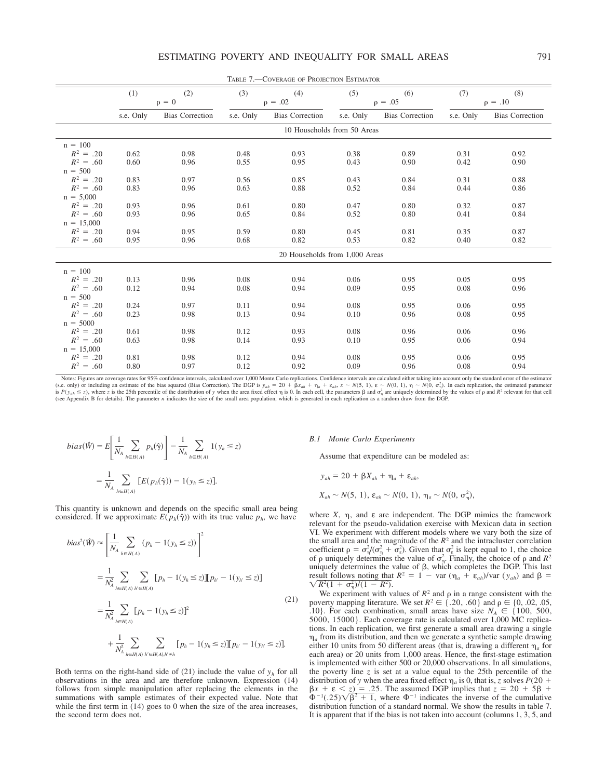|              | (1)       | (2)                    | (3)          | (4)                            | (5)       | (6)                    | (7)          | (8)                    |  |
|--------------|-----------|------------------------|--------------|--------------------------------|-----------|------------------------|--------------|------------------------|--|
|              |           | $\rho = 0$             | $\rho = .02$ |                                |           | $\rho = .05$           | $\rho = .10$ |                        |  |
|              | s.e. Only | <b>Bias Correction</b> | s.e. Only    | <b>Bias Correction</b>         | s.e. Only | <b>Bias Correction</b> | s.e. Only    | <b>Bias Correction</b> |  |
|              |           |                        |              | 10 Households from 50 Areas    |           |                        |              |                        |  |
| $n = 100$    |           |                        |              |                                |           |                        |              |                        |  |
| $R^2 = .20$  | 0.62      | 0.98                   | 0.48         | 0.93                           | 0.38      | 0.89                   | 0.31         | 0.92                   |  |
| $R^2 = .60$  | 0.60      | 0.96                   | 0.55         | 0.95                           | 0.43      | 0.90                   | 0.42         | 0.90                   |  |
| $n = 500$    |           |                        |              |                                |           |                        |              |                        |  |
| $R^2 = .20$  | 0.83      | 0.97                   | 0.56         | 0.85                           | 0.43      | 0.84                   | 0.31         | 0.88                   |  |
| $R^2 = .60$  | 0.83      | 0.96                   | 0.63         | 0.88                           | 0.52      | 0.84                   | 0.44         | 0.86                   |  |
| $n = 5,000$  |           |                        |              |                                |           |                        |              |                        |  |
| $R^2 = .20$  | 0.93      | 0.96                   | 0.61         | 0.80                           | 0.47      | 0.80                   | 0.32         | 0.87                   |  |
| $R^2 = .60$  | 0.93      | 0.96                   | 0.65         | 0.84                           | 0.52      | 0.80                   | 0.41         | 0.84                   |  |
| $n = 15,000$ |           |                        |              |                                |           |                        |              |                        |  |
| $R^2 = .20$  | 0.94      | 0.95                   | 0.59         | 0.80                           | 0.45      | 0.81                   | 0.35         | 0.87                   |  |
| $R^2 = .60$  | 0.95      | 0.96                   | 0.68         | 0.82                           | 0.53      | 0.82                   | 0.40         | 0.82                   |  |
|              |           |                        |              | 20 Households from 1,000 Areas |           |                        |              |                        |  |
| $n = 100$    |           |                        |              |                                |           |                        |              |                        |  |
| $R^2 = .20$  | 0.13      | 0.96                   | 0.08         | 0.94                           | 0.06      | 0.95                   | 0.05         | 0.95                   |  |
| $R^2 = .60$  | 0.12      | 0.94                   | 0.08         | 0.94                           | 0.09      | 0.95                   | 0.08         | 0.96                   |  |
| $n = 500$    |           |                        |              |                                |           |                        |              |                        |  |
| $R^2 = .20$  | 0.24      | 0.97                   | 0.11         | 0.94                           | 0.08      | 0.95                   | 0.06         | 0.95                   |  |
| $R^2 = .60$  | 0.23      | 0.98                   | 0.13         | 0.94                           | 0.10      | 0.96                   | 0.08         | 0.95                   |  |
| $n = 5000$   |           |                        |              |                                |           |                        |              |                        |  |
| $R^2 = .20$  | 0.61      | 0.98                   | 0.12         | 0.93                           | 0.08      | 0.96                   | 0.06         | 0.96                   |  |
| $R^2 = .60$  | 0.63      | 0.98                   | 0.14         | 0.93                           | 0.10      | 0.95                   | 0.06         | 0.94                   |  |
| $n = 15,000$ |           |                        |              |                                |           |                        |              |                        |  |
| $R^2 = .20$  | 0.81      | 0.98                   | 0.12         | 0.94                           | 0.08      | 0.95                   | 0.06         | 0.95                   |  |
| $R^2 = .60$  | 0.80      | 0.97                   | 0.12         | 0.92                           | 0.09      | 0.96                   | 0.08         | 0.94                   |  |

TABLE 7.—COVERAGE OF PROJECTION ESTIMATOR

Notes: Figures are coverage rates for 95% confidence intervals, calculated over 1,000 Monte Carlo replications. Confidence intervals are calculated either taking into account only the standard error of the estimator (s.e. only) or including an estimate of the bias squared (Bias Correction). The DGP is  $y_{ah} = 20 + \beta x_{ah} + \eta_a + \epsilon_{ah}$ ,  $x \sim N(5, 1)$ ,  $\varepsilon \sim N(0, 1)$ ,  $\eta \sim N(0, \sigma_n^2)$ . In each replication, the estimated parameter is  $P(y_{ah} \le z$ (see Appendix B for details). The parameter *n* indicates the size of the small area population, which is generated in each replication as a random draw from the DGP.

$$
bias(\hat{W}) = E \left[ \frac{1}{N_A} \sum_{h \in H(A)} p_h(\hat{\gamma}) \right] - \frac{1}{N_A} \sum_{h \in H(A)} 1(y_h \le z)
$$
  
= 
$$
\frac{1}{N_A} \sum_{h \in H(A)} [E(p_h(\hat{\gamma})) - 1(y_h \le z)].
$$

This quantity is unknown and depends on the specific small area being considered. If we approximate  $E(p_h(\hat{\gamma}))$  with its true value  $p_h$ , we have

$$
bias^{2}(\hat{W}) \approx \left[\frac{1}{N_{A}} \sum_{h \in H(A)} (p_{h} - 1(y_{h} \le z))\right]^{2}
$$
  
\n
$$
= \frac{1}{N_{A}} \sum_{h \in H(A)} \sum_{h' \in H(A)} [p_{h} - 1(y_{h} \le z)] [p_{h'} - 1(y_{h'} \le z)]
$$
  
\n
$$
= \frac{1}{N_{A}} \sum_{h \in H(A)} [p_{h} - 1(y_{h} \le z)]^{2}
$$
  
\n
$$
+ \frac{1}{N_{A}} \sum_{h \in H(A)} \sum_{h' \in H(A)} [p_{h} - 1(y_{h} \le z)] [p_{h'} - 1(y_{h'} \le z)].
$$
  
\n(21)

Both terms on the right-hand side of  $(21)$  include the value of  $y<sub>h</sub>$  for all observations in the area and are therefore unknown. Expression (14) follows from simple manipulation after replacing the elements in the summations with sample estimates of their expected value. Note that while the first term in (14) goes to 0 when the size of the area increases, the second term does not.

#### *B.1 Monte Carlo Experiments*

Assume that expenditure can be modeled as:

$$
y_{ah} = 20 + \beta X_{ah} + \eta_a + \varepsilon_{ah},
$$
  

$$
X_{ah} \sim N(5, 1), \varepsilon_{ah} \sim N(0, 1), \eta_a \sim N(0, \sigma_{\eta}^2),
$$

where  $X$ ,  $\eta$ , and  $\varepsilon$  are independent. The DGP mimics the framework relevant for the pseudo-validation exercise with Mexican data in section VI. We experiment with different models where we vary both the size of the small area and the magnitude of the  $R<sup>2</sup>$  and the intracluster correlation coefficient  $\rho = \sigma_{\eta}^2/(\sigma_{\eta}^2 + \sigma_{\epsilon}^2)$ . Given that  $\sigma_{\epsilon}^2$  is kept equal to 1, the choice of  $\rho$  uniquely determines the value of  $\sigma_{\eta}^2$ . Finally, the choice of  $\rho$  and  $R^2$ uniquely determines the value of  $\beta$ , which completes the DGP. This last result follows noting that  $R^2 = 1 - \text{var}(\eta_a + \varepsilon_{ah})/\text{var}(y_{ah})$  and  $\beta =$  $\frac{(1 + \sigma_{\eta}^2)}{(1 - R^2)}$ .

We experiment with values of  $R^2$  and  $\rho$  in a range consistent with the poverty mapping literature. We set  $R^2 \in \{.20, .60\}$  and  $\rho \in \{0, .02, .05,$ .10}. For each combination, small areas have size  $N_A \in \{100, 500,$ 5000, 15000}. Each coverage rate is calculated over 1,000 MC replications. In each replication, we first generate a small area drawing a single  $\eta_a$  from its distribution, and then we generate a synthetic sample drawing either 10 units from 50 different areas (that is, drawing a different  $\eta_a$  for each area) or 20 units from 1,000 areas. Hence, the first-stage estimation is implemented with either 500 or 20,000 observations. In all simulations, the poverty line  $z$  is set at a value equal to the 25th percentile of the distribution of *y* when the area fixed effect  $\eta_a$  is 0, that is, *z* solves  $P(20 +$  $\beta x + \varepsilon < \zeta$ ) = .25. The assumed DGP implies that  $\zeta = 20 + 5\beta + \Phi^{-1}(.25)\sqrt{\beta^2 + 1}$ , where  $\Phi^{-1}$  indicates the inverse of the cumulative distribution function of a standard normal. We show the results in table 7. It is apparent that if the bias is not taken into account (columns 1, 3, 5, and